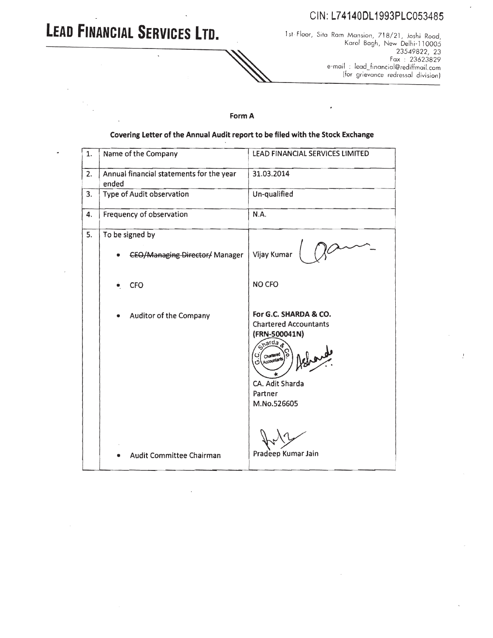$\ddot{\phantom{a}}$ 

# CIN: L74140DL1993PLC053485

23549822, 23

1st-Floor, Sita Ram Mansion, 718/21, Joshi Road, Karol Bagh, New Delhi-110005 Fax: 23623829<br>e-mail: lead\_financial@rediffmail.com (for grievance redressal division)

# Form A

# Covering Letter of the Annual Audit report to be filed with the Stock Exchange

| 1. | Name of the Company                               |                                       | LEAD FINANCIAL SERVICES LIMITED                                                                                                                          |  |
|----|---------------------------------------------------|---------------------------------------|----------------------------------------------------------------------------------------------------------------------------------------------------------|--|
| 2. | Annual financial statements for the year<br>ended |                                       | 31.03.2014                                                                                                                                               |  |
| 3. |                                                   | Type of Audit observation             | Un-qualified                                                                                                                                             |  |
| 4. |                                                   | Frequency of observation              | N.A.                                                                                                                                                     |  |
| 5. |                                                   | To be signed by                       |                                                                                                                                                          |  |
|    |                                                   | <b>CEO/Managing Director/ Manager</b> | Vijay Kumar                                                                                                                                              |  |
|    | ۰                                                 | <b>CFO</b>                            | <b>NO CFO</b>                                                                                                                                            |  |
|    | Auditor of the Company                            |                                       | For G.C. SHARDA & CO.<br><b>Chartered Accountants</b><br>(FRN-500041N)<br>narda<br>Charlered<br>Accountants<br>CA. Adit Sharda<br>Partner<br>M.No.526605 |  |
|    |                                                   | Audit Committee Chairman              | Pradeep Kumar Jain                                                                                                                                       |  |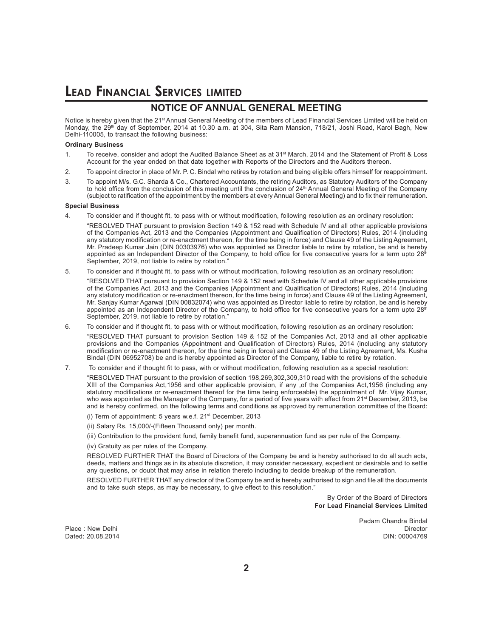# **LEAD FINANCIAL SERVICES LIMITED NOTICE OF ANNUAL GENERAL MEETING**

Notice is hereby given that the 21<sup>st</sup> Annual General Meeting of the members of Lead Financial Services Limited will be held on Monday, the 29<sup>th</sup> day of September, 2014 at 10.30 a.m. at 304, Sita Ram Mansion, 718/21, Joshi Road, Karol Bagh, New Delhi-110005, to transact the following business:

### **Ordinary Business**

- 1. To receive, consider and adopt the Audited Balance Sheet as at 31<sup>st</sup> March, 2014 and the Statement of Profit & Loss Account for the year ended on that date together with Reports of the Directors and the Auditors thereon.
- 2. To appoint director in place of Mr. P. C. Bindal who retires by rotation and being eligible offers himself for reappointment.
- 3. To appoint M/s. G.C. Sharda & Co., Chartered Accountants, the retiring Auditors, as Statutory Auditors of the Company to hold office from the conclusion of this meeting until the conclusion of 24<sup>th</sup> Annual General Meeting of the Company (subject to ratification of the appointment by the members at every Annual General Meeting) and to fix their remuneration.

### **Special Business**

4. To consider and if thought fit, to pass with or without modification, following resolution as an ordinary resolution:

"RESOLVED THAT pursuant to provision Section 149 & 152 read with Schedule IV and all other applicable provisions of the Companies Act, 2013 and the Companies (Appointment and Qualification of Directors) Rules, 2014 (including any statutory modification or re-enactment thereon, for the time being in force) and Clause 49 of the Listing Agreement, Mr. Pradeep Kumar Jain (DIN 00303976) who was appointed as Director liable to retire by rotation, be and is hereby appointed as an Independent Director of the Company, to hold office for five consecutive years for a term upto  $28^{\text{th}}$ September, 2019, not liable to retire by rotation."

5. To consider and if thought fit, to pass with or without modification, following resolution as an ordinary resolution:

"RESOLVED THAT pursuant to provision Section 149 & 152 read with Schedule IV and all other applicable provisions of the Companies Act, 2013 and the Companies (Appointment and Qualification of Directors) Rules, 2014 (including any statutory modification or re-enactment thereon, for the time being in force) and Clause 49 of the Listing Agreement, Mr. Sanjay Kumar Agarwal (DIN 00832074) who was appointed as Director liable to retire by rotation, be and is hereby appointed as an Independent Director of the Company, to hold office for five consecutive years for a term upto 28<sup>th</sup> September, 2019, not liable to retire by rotation."

6. To consider and if thought fit, to pass with or without modification, following resolution as an ordinary resolution:

"RESOLVED THAT pursuant to provision Section 149 & 152 of the Companies Act, 2013 and all other applicable provisions and the Companies (Appointment and Qualification of Directors) Rules, 2014 (including any statutory modification or re-enactment thereon, for the time being in force) and Clause 49 of the Listing Agreement, Ms. Kusha Bindal (DIN 06952708) be and is hereby appointed as Director of the Company, liable to retire by rotation.

7. To consider and if thought fit to pass, with or without modification, following resolution as a special resolution:

"RESOLVED THAT pursuant to the provision of section 198,269,302,309,310 read with the provisions of the schedule XIII of the Companies Act,1956 and other applicable provision, if any ,of the Companies Act,1956 (including any statutory modifications or re-enactment thereof for the time being enforceable) the appointment of Mr. Vijay Kumar, who was appointed as the Manager of the Company, for a period of five years with effect from 21<sup>st</sup> December, 2013, be and is hereby confirmed, on the following terms and conditions as approved by remuneration committee of the Board:

(i) Term of appointment: 5 years w.e.f. 21<sup>st</sup> December, 2013

(ii) Salary Rs. 15,000/-(Fifteen Thousand only) per month.

(iii) Contribution to the provident fund, family benefit fund, superannuation fund as per rule of the Company.

(iv) Gratuity as per rules of the Company.

RESOLVED FURTHER THAT the Board of Directors of the Company be and is hereby authorised to do all such acts, deeds, matters and things as in its absolute discretion, it may consider necessary, expedient or desirable and to settle any questions, or doubt that may arise in relation thereto including to decide breakup of the remuneration.

RESOLVED FURTHER THAT any director of the Company be and is hereby authorised to sign and file all the documents and to take such steps, as may be necessary, to give effect to this resolution."

> By Order of the Board of Directors **For Lead Financial Services Limited**

Padam Chandra Bindal Place : New Delhi Director **Director** Director **Director** Director **Director** Director **Director** Dated: 20.08.2014 DIN: 00004769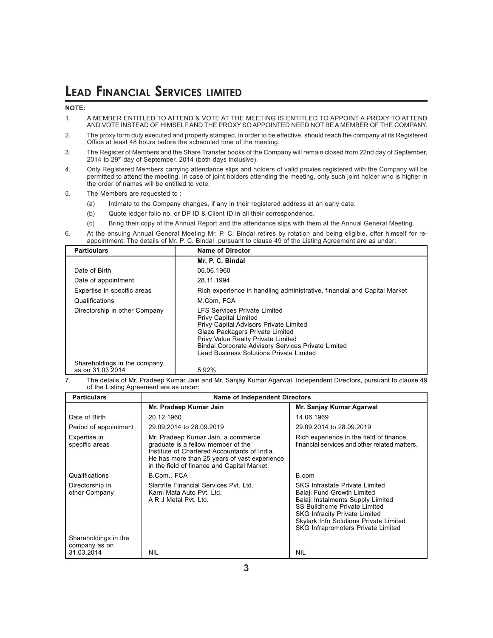# **NOTE:**

- 1. A MEMBER ENTITLED TO ATTEND & VOTE AT THE MEETING IS ENTITLED TO APPOINT A PROXY TO ATTEND AND VOTE INSTEAD OF HIMSELF AND THE PROXY SO APPOINTED NEED NOT BE A MEMBER OF THE COMPANY.
- 2. The proxy form duly executed and properly stamped, in order to be effective, should reach the company at its Registered Office at least 48 hours before the scheduled time of the meeting.
- 3. The Register of Members and the Share Transfer books of the Company will remain closed from 22nd day of September, 2014 to 29th day of September, 2014 (both days inclusive).
- 4. Only Registered Members carrying attendance slips and holders of valid proxies registered with the Company will be permitted to attend the meeting. In case of joint holders attending the meeting, only such joint holder who is higher in the order of names will be entitled to vote.
- 5. The Members are requested to :
	- (a) Intimate to the Company changes, if any in their registered address at an early date.
	- (b) Quote ledger folio no. or DP ID & Client ID in all their correspondence.
	- (c) Bring their copy of the Annual Report and the attendance slips with them at the Annual General Meeting.
- 6. At the ensuing Annual General Meeting Mr. P. C. Bindal retires by rotation and being eligible, offer himself for reappointment. The details of Mr. P. C. Bindal pursuant to clause 49 of the Listing Agreement are as under:

| <b>Particulars</b>                               | <b>Name of Director</b>                                                                                                                                                                                                                                                                  |  |  |
|--------------------------------------------------|------------------------------------------------------------------------------------------------------------------------------------------------------------------------------------------------------------------------------------------------------------------------------------------|--|--|
|                                                  | Mr. P. C. Bindal                                                                                                                                                                                                                                                                         |  |  |
| Date of Birth                                    | 05.06.1960                                                                                                                                                                                                                                                                               |  |  |
| Date of appointment                              | 28.11.1994                                                                                                                                                                                                                                                                               |  |  |
| Expertise in specific areas                      | Rich experience in handling administrative, financial and Capital Market                                                                                                                                                                                                                 |  |  |
| Qualifications                                   | M.Com, FCA                                                                                                                                                                                                                                                                               |  |  |
| Directorship in other Company                    | I FS Services Private Limited<br><b>Privy Capital Limited</b><br>Privy Capital Advisors Private Limited<br>Glaze Packagers Private Limited<br>Privy Value Realty Private Limited<br><b>Bindal Corporate Advisory Services Private Limited</b><br>Lead Business Solutions Private Limited |  |  |
| Shareholdings in the company<br>as on 31.03.2014 | 5.92%                                                                                                                                                                                                                                                                                    |  |  |

7. The details of Mr. Pradeep Kumar Jain and Mr. Sanjay Kumar Agarwal, Independent Directors, pursuant to clause 49 of the Listing Agreement are as under:

| <b>Particulars</b>                    | <b>Name of Independent Directors</b>                                                                                                                                                                                    |                                                                                                                                                                                                                                                                         |  |  |  |
|---------------------------------------|-------------------------------------------------------------------------------------------------------------------------------------------------------------------------------------------------------------------------|-------------------------------------------------------------------------------------------------------------------------------------------------------------------------------------------------------------------------------------------------------------------------|--|--|--|
|                                       | Mr. Pradeep Kumar Jain                                                                                                                                                                                                  | Mr. Sanjay Kumar Agarwal                                                                                                                                                                                                                                                |  |  |  |
| Date of Birth                         | 20.12.1960                                                                                                                                                                                                              | 14.06.1969                                                                                                                                                                                                                                                              |  |  |  |
| Period of appointment                 | 29.09.2014 to 28.09.2019                                                                                                                                                                                                | 29.09.2014 to 28.09.2019                                                                                                                                                                                                                                                |  |  |  |
| Expertise in<br>specific areas        | Mr. Pradeep Kumar Jain, a commerce<br>graduate is a fellow member of the<br>Institute of Chartered Accountants of India.<br>He has more than 25 years of vast experience<br>in the field of finance and Capital Market. | Rich experience in the field of finance,<br>financial services and other related matters.                                                                                                                                                                               |  |  |  |
| Qualifications                        | B.Com., FCA                                                                                                                                                                                                             | B.com                                                                                                                                                                                                                                                                   |  |  |  |
| Directorship in<br>other Company      | Startrite Financial Services Pvt. Ltd.<br>Karni Mata Auto Pvt. Ltd.<br>A R J Metal Pvt. Ltd.                                                                                                                            | <b>SKG Infrastate Private Limited</b><br>Balaji Fund Growth Limited<br>Balaji Instalments Supply Limited<br><b>SS Buildhome Private Limited</b><br><b>SKG Infracity Private Limited</b><br>Skylark Info Solutions Private Limited<br>SKG Infrapromoters Private Limited |  |  |  |
| Shareholdings in the<br>company as on |                                                                                                                                                                                                                         |                                                                                                                                                                                                                                                                         |  |  |  |
| 31.03.2014                            | <b>NIL</b>                                                                                                                                                                                                              | <b>NIL</b>                                                                                                                                                                                                                                                              |  |  |  |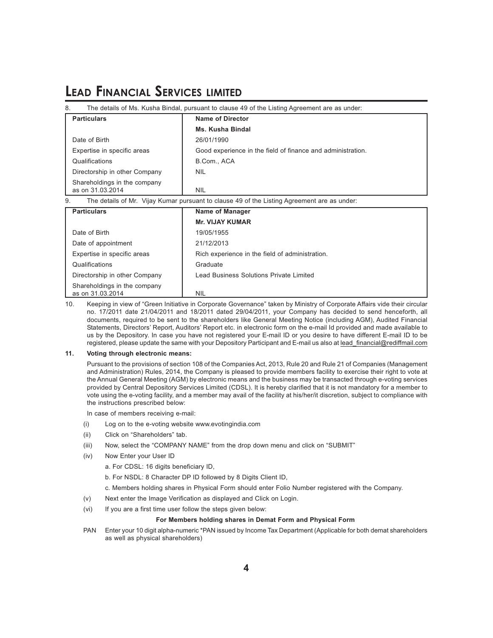### 8. The details of Ms. Kusha Bindal, pursuant to clause 49 of the Listing Agreement are as under:

| <b>Particulars</b>                                                                          | <b>Name of Director</b>                                     |  |  |  |
|---------------------------------------------------------------------------------------------|-------------------------------------------------------------|--|--|--|
|                                                                                             | Ms. Kusha Bindal                                            |  |  |  |
| Date of Birth                                                                               | 26/01/1990                                                  |  |  |  |
| Expertise in specific areas                                                                 | Good experience in the field of finance and administration. |  |  |  |
| Qualifications                                                                              | B.Com., ACA                                                 |  |  |  |
| Directorship in other Company                                                               | NIL.                                                        |  |  |  |
| Shareholdings in the company<br>as on 31.03.2014                                            | <b>NIL</b>                                                  |  |  |  |
| The details of Mr. Vijay Kumar pursuant to clause 49 of the Listing Agreement are as under: |                                                             |  |  |  |

| <b>Particulars</b>            | Name of Manager                                 |  |  |
|-------------------------------|-------------------------------------------------|--|--|
|                               | <b>Mr. VIJAY KUMAR</b>                          |  |  |
| Date of Birth                 | 19/05/1955                                      |  |  |
| Date of appointment           | 21/12/2013                                      |  |  |
| Expertise in specific areas   | Rich experience in the field of administration. |  |  |
| Qualifications                | Graduate                                        |  |  |
| Directorship in other Company | Lead Business Solutions Private Limited         |  |  |
| Shareholdings in the company  |                                                 |  |  |
| as on 31.03.2014              | <b>NIL</b>                                      |  |  |

10. Keeping in view of "Green Initiative in Corporate Governance" taken by Ministry of Corporate Affairs vide their circular no. 17/2011 date 21/04/2011 and 18/2011 dated 29/04/2011, your Company has decided to send henceforth, all documents, required to be sent to the shareholders like General Meeting Notice (including AGM), Audited Financial Statements, Directors' Report, Auditors' Report etc. in electronic form on the e-mail Id provided and made available to us by the Depository. In case you have not registered your E-mail ID or you desire to have different E-mail ID to be registered, please update the same with your Depository Participant and E-mail us also at lead financial@rediffmail.com

### **11. Voting through electronic means:**

Pursuant to the provisions of section 108 of the Companies Act, 2013, Rule 20 and Rule 21 of Companies (Management and Administration) Rules, 2014, the Company is pleased to provide members facility to exercise their right to vote at the Annual General Meeting (AGM) by electronic means and the business may be transacted through e-voting services provided by Central Depository Services Limited (CDSL). It is hereby clarified that it is not mandatory for a member to vote using the e-voting facility, and a member may avail of the facility at his/her/it discretion, subject to compliance with the instructions prescribed below:

In case of members receiving e-mail:

- (i) Log on to the e-voting website www.evotingindia.com
- (ii) Click on "Shareholders" tab.
- (iii) Now, select the "COMPANY NAME" from the drop down menu and click on "SUBMIT"
- (iv) Now Enter your User ID

a. For CDSL: 16 digits beneficiary ID,

b. For NSDL: 8 Character DP ID followed by 8 Digits Client ID,

- c. Members holding shares in Physical Form should enter Folio Number registered with the Company.
- (v) Next enter the Image Verification as displayed and Click on Login.
- (vi) If you are a first time user follow the steps given below:

# **For Members holding shares in Demat Form and Physical Form**

PAN Enter your 10 digit alpha-numeric \*PAN issued by Income Tax Department (Applicable for both demat shareholders as well as physical shareholders)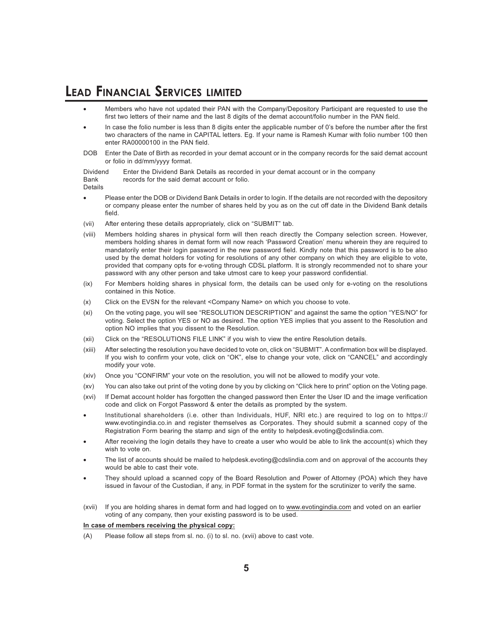- Members who have not updated their PAN with the Company/Depository Participant are requested to use the first two letters of their name and the last 8 digits of the demat account/folio number in the PAN field.
- In case the folio number is less than 8 digits enter the applicable number of 0's before the number after the first two characters of the name in CAPITAL letters. Eg. If your name is Ramesh Kumar with folio number 100 then enter RA00000100 in the PAN field.
- DOB Enter the Date of Birth as recorded in your demat account or in the company records for the said demat account or folio in dd/mm/yyyy format.
- Dividend Enter the Dividend Bank Details as recorded in your demat account or in the company

Bank records for the said demat account or folio.

### Details

- Please enter the DOB or Dividend Bank Details in order to login. If the details are not recorded with the depository or company please enter the number of shares held by you as on the cut off date in the Dividend Bank details field.
- (vii) After entering these details appropriately, click on "SUBMIT" tab.
- (viii) Members holding shares in physical form will then reach directly the Company selection screen. However, members holding shares in demat form will now reach 'Password Creation' menu wherein they are required to mandatorily enter their login password in the new password field. Kindly note that this password is to be also used by the demat holders for voting for resolutions of any other company on which they are eligible to vote, provided that company opts for e-voting through CDSL platform. It is strongly recommended not to share your password with any other person and take utmost care to keep your password confidential.
- (ix) For Members holding shares in physical form, the details can be used only for e-voting on the resolutions contained in this Notice.
- (x) Click on the EVSN for the relevant <Company Name> on which you choose to vote.
- (xi) On the voting page, you will see "RESOLUTION DESCRIPTION" and against the same the option "YES/NO" for voting. Select the option YES or NO as desired. The option YES implies that you assent to the Resolution and option NO implies that you dissent to the Resolution.
- (xii) Click on the "RESOLUTIONS FILE LINK" if you wish to view the entire Resolution details.
- (xiii) After selecting the resolution you have decided to vote on, click on "SUBMIT". A confirmation box will be displayed. If you wish to confirm your vote, click on "OK", else to change your vote, click on "CANCEL" and accordingly modify your vote.
- (xiv) Once you "CONFIRM" your vote on the resolution, you will not be allowed to modify your vote.
- (xv) You can also take out print of the voting done by you by clicking on "Click here to print" option on the Voting page.
- (xvi) If Demat account holder has forgotten the changed password then Enter the User ID and the image verification code and click on Forgot Password & enter the details as prompted by the system.
- Institutional shareholders (i.e. other than Individuals, HUF, NRI etc.) are required to log on to https:// www.evotingindia.co.in and register themselves as Corporates. They should submit a scanned copy of the Registration Form bearing the stamp and sign of the entity to helpdesk.evoting@cdslindia.com.
- After receiving the login details they have to create a user who would be able to link the account(s) which they wish to vote on.
- The list of accounts should be mailed to helpdesk.evoting@cdslindia.com and on approval of the accounts they would be able to cast their vote.
- They should upload a scanned copy of the Board Resolution and Power of Attorney (POA) which they have issued in favour of the Custodian, if any, in PDF format in the system for the scrutinizer to verify the same.
- (xvii) If you are holding shares in demat form and had logged on to www.evotingindia.com and voted on an earlier voting of any company, then your existing password is to be used.

# **In case of members receiving the physical copy:**

(A) Please follow all steps from sl. no. (i) to sl. no. (xvii) above to cast vote.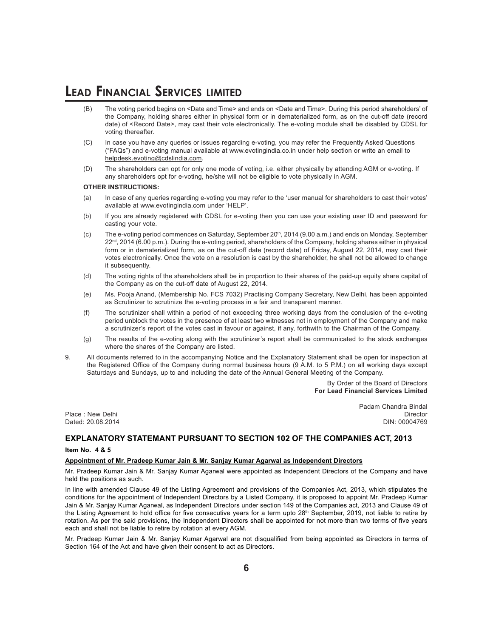- (B) The voting period begins on <Date and Time> and ends on <Date and Time>. During this period shareholders' of the Company, holding shares either in physical form or in dematerialized form, as on the cut-off date (record date) of <Record Date>, may cast their vote electronically. The e-voting module shall be disabled by CDSL for voting thereafter.
- (C) In case you have any queries or issues regarding e-voting, you may refer the Frequently Asked Questions ("FAQs") and e-voting manual available at www.evotingindia.co.in under help section or write an email to helpdesk.evoting@cdslindia.com.
- (D) The shareholders can opt for only one mode of voting, i.e. either physically by attending AGM or e-voting. If any shareholders opt for e-voting, he/she will not be eligible to vote physically in AGM.

### **OTHER INSTRUCTIONS:**

- (a) In case of any queries regarding e-voting you may refer to the 'user manual for shareholders to cast their votes' available at www.evotingindia.com under 'HELP'.
- (b) If you are already registered with CDSL for e-voting then you can use your existing user ID and password for casting your vote.
- (c) The e-voting period commences on Saturday, September 20<sup>th</sup>, 2014 (9.00 a.m.) and ends on Monday, September 22<sup>nd</sup>, 2014 (6.00 p.m.). During the e-voting period, shareholders of the Company, holding shares either in physical form or in dematerialized form, as on the cut-off date (record date) of Friday, August 22, 2014, may cast their votes electronically. Once the vote on a resolution is cast by the shareholder, he shall not be allowed to change it subsequently.
- (d) The voting rights of the shareholders shall be in proportion to their shares of the paid-up equity share capital of the Company as on the cut-off date of August 22, 2014.
- (e) Ms. Pooja Anand, (Membership No. FCS 7032) Practising Company Secretary, New Delhi, has been appointed as Scrutinizer to scrutinize the e-voting process in a fair and transparent manner.
- (f) The scrutinizer shall within a period of not exceeding three working days from the conclusion of the e-voting period unblock the votes in the presence of at least two witnesses not in employment of the Company and make a scrutinizer's report of the votes cast in favour or against, if any, forthwith to the Chairman of the Company.
- (g) The results of the e-voting along with the scrutinizer's report shall be communicated to the stock exchanges where the shares of the Company are listed.
- 9. All documents referred to in the accompanying Notice and the Explanatory Statement shall be open for inspection at the Registered Office of the Company during normal business hours (9 A.M. to 5 P.M.) on all working days except Saturdays and Sundays, up to and including the date of the Annual General Meeting of the Company.

By Order of the Board of Directors **For Lead Financial Services Limited**

Dated: 20.08.2014

Padam Chandra Bindal Place : New Delhi Director

# **EXPLANATORY STATEMANT PURSUANT TO SECTION 102 OF THE COMPANIES ACT, 2013**

### **Item No. 4 & 5**

### **Appointment of Mr. Pradeep Kumar Jain & Mr. Sanjay Kumar Agarwal as Independent Directors**

Mr. Pradeep Kumar Jain & Mr. Sanjay Kumar Agarwal were appointed as Independent Directors of the Company and have held the positions as such.

In line with amended Clause 49 of the Listing Agreement and provisions of the Companies Act, 2013, which stipulates the conditions for the appointment of Independent Directors by a Listed Company, it is proposed to appoint Mr. Pradeep Kumar Jain & Mr. Sanjay Kumar Agarwal, as Independent Directors under section 149 of the Companies act, 2013 and Clause 49 of the Listing Agreement to hold office for five consecutive years for a term upto 28th September, 2019, not liable to retire by rotation. As per the said provisions, the Independent Directors shall be appointed for not more than two terms of five years each and shall not be liable to retire by rotation at every AGM.

Mr. Pradeep Kumar Jain & Mr. Sanjay Kumar Agarwal are not disqualified from being appointed as Directors in terms of Section 164 of the Act and have given their consent to act as Directors.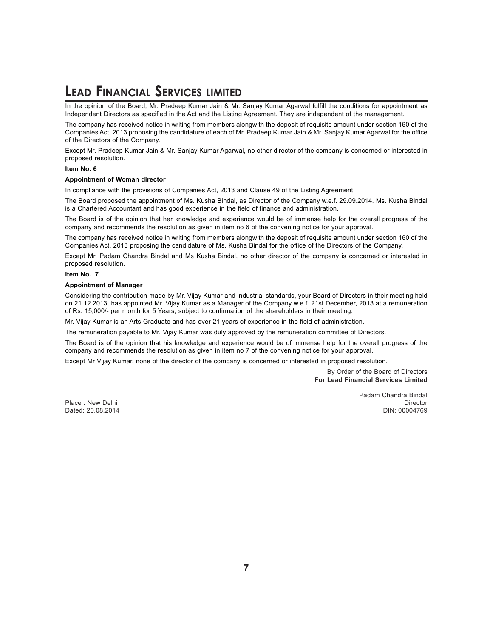In the opinion of the Board, Mr. Pradeep Kumar Jain & Mr. Sanjay Kumar Agarwal fulfill the conditions for appointment as Independent Directors as specified in the Act and the Listing Agreement. They are independent of the management.

The company has received notice in writing from members alongwith the deposit of requisite amount under section 160 of the Companies Act, 2013 proposing the candidature of each of Mr. Pradeep Kumar Jain & Mr. Sanjay Kumar Agarwal for the office of the Directors of the Company.

Except Mr. Pradeep Kumar Jain & Mr. Sanjay Kumar Agarwal, no other director of the company is concerned or interested in proposed resolution.

### **Item No. 6**

#### **Appointment of Woman director**

In compliance with the provisions of Companies Act, 2013 and Clause 49 of the Listing Agreement,

The Board proposed the appointment of Ms. Kusha Bindal, as Director of the Company w.e.f. 29.09.2014. Ms. Kusha Bindal is a Chartered Accountant and has good experience in the field of finance and administration.

The Board is of the opinion that her knowledge and experience would be of immense help for the overall progress of the company and recommends the resolution as given in item no 6 of the convening notice for your approval.

The company has received notice in writing from members alongwith the deposit of requisite amount under section 160 of the Companies Act, 2013 proposing the candidature of Ms. Kusha Bindal for the office of the Directors of the Company.

Except Mr. Padam Chandra Bindal and Ms Kusha Bindal, no other director of the company is concerned or interested in proposed resolution.

### **Item No. 7**

### **Appointment of Manager**

Considering the contribution made by Mr. Vijay Kumar and industrial standards, your Board of Directors in their meeting held on 21.12.2013, has appointed Mr. Vijay Kumar as a Manager of the Company w.e.f. 21st December, 2013 at a remuneration of Rs. 15,000/- per month for 5 Years, subject to confirmation of the shareholders in their meeting.

Mr. Vijay Kumar is an Arts Graduate and has over 21 years of experience in the field of administration.

The remuneration payable to Mr. Vijay Kumar was duly approved by the remuneration committee of Directors.

The Board is of the opinion that his knowledge and experience would be of immense help for the overall progress of the company and recommends the resolution as given in item no 7 of the convening notice for your approval.

Except Mr Vijay Kumar, none of the director of the company is concerned or interested in proposed resolution.

By Order of the Board of Directors **For Lead Financial Services Limited**

Dated: 20.08.2014

Padam Chandra Bindal Place : New Delhi Director<br>Director Dated: 20.08.2014 DIN: 00004769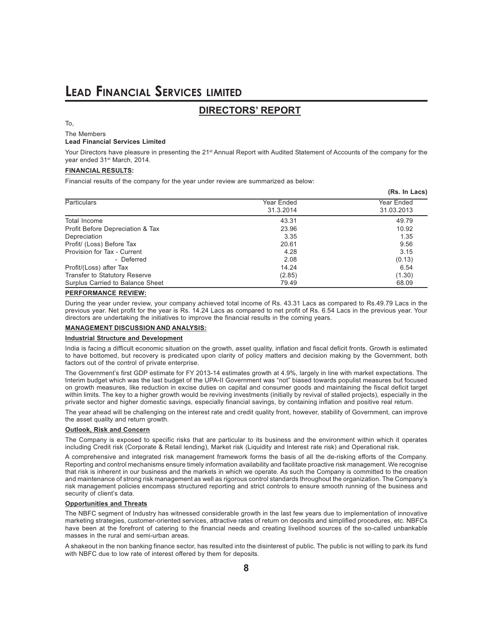# **DIRECTORS' REPORT**

### To,

The Members

#### **Lead Financial Services Limited**

Your Directors have pleasure in presenting the 21<sup>st</sup> Annual Report with Audited Statement of Accounts of the company for the year ended 31<sup>st</sup> March, 2014.

### **FINANCIAL RESULTS:**

Financial results of the company for the year under review are summarized as below:

|                                      |            | (Rs. In Lacs) |
|--------------------------------------|------------|---------------|
| <b>Particulars</b>                   | Year Ended | Year Ended    |
|                                      | 31.3.2014  | 31.03.2013    |
| Total Income                         | 43.31      | 49.79         |
| Profit Before Depreciation & Tax     | 23.96      | 10.92         |
| Depreciation                         | 3.35       | 1.35          |
| Profit/ (Loss) Before Tax            | 20.61      | 9.56          |
| Provision for Tax - Current          | 4.28       | 3.15          |
| - Deferred                           | 2.08       | (0.13)        |
| Profit/(Loss) after Tax              | 14.24      | 6.54          |
| <b>Transfer to Statutory Reserve</b> | (2.85)     | (1.30)        |
| Surplus Carried to Balance Sheet     | 79.49      | 68.09         |

# **PERFORMANCE REVIEW:**

During the year under review, your company achieved total income of Rs. 43.31 Lacs as compared to Rs.49.79 Lacs in the previous year. Net profit for the year is Rs. 14.24 Lacs as compared to net profit of Rs. 6.54 Lacs in the previous year. Your directors are undertaking the initiatives to improve the financial results in the coming years.

### **MANAGEMENT DISCUSSION AND ANALYSIS:**

#### **Industrial Structure and Development**

India is facing a difficult economic situation on the growth, asset quality, inflation and fiscal deficit fronts. Growth is estimated to have bottomed, but recovery is predicated upon clarity of policy matters and decision making by the Government, both factors out of the control of private enterprise.

The Government's first GDP estimate for FY 2013-14 estimates growth at 4.9%, largely in line with market expectations. The Interim budget which was the last budget of the UPA-II Government was "not" biased towards populist measures but focused on growth measures, like reduction in excise duties on capital and consumer goods and maintaining the fiscal deficit target within limits. The key to a higher growth would be reviving investments (initially by revival of stalled projects), especially in the private sector and higher domestic savings, especially financial savings, by containing inflation and positive real return.

The year ahead will be challenging on the interest rate and credit quality front, however, stability of Government, can improve the asset quality and return growth.

### **Outlook, Risk and Concern**

The Company is exposed to specific risks that are particular to its business and the environment within which it operates including Credit risk (Corporate & Retail lending), Market risk (Liquidity and Interest rate risk) and Operational risk.

A comprehensive and integrated risk management framework forms the basis of all the de-risking efforts of the Company. Reporting and control mechanisms ensure timely information availability and facilitate proactive risk management. We recognise that risk is inherent in our business and the markets in which we operate. As such the Company is committed to the creation and maintenance of strong risk management as well as rigorous control standards throughout the organization. The Company's risk management policies encompass structured reporting and strict controls to ensure smooth running of the business and security of client's data.

## **Opportunities and Threats**

The NBFC segment of Industry has witnessed considerable growth in the last few years due to implementation of innovative marketing strategies, customer-oriented services, attractive rates of return on deposits and simplified procedures, etc. NBFCs have been at the forefront of catering to the financial needs and creating livelihood sources of the so-called unbankable masses in the rural and semi-urban areas.

A shakeout in the non banking finance sector, has resulted into the disinterest of public. The public is not willing to park its fund with NBFC due to low rate of interest offered by them for deposits.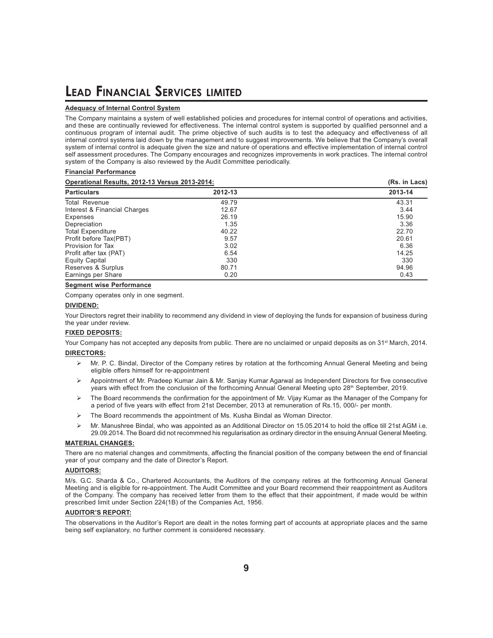### **Adequacy of Internal Control System**

The Company maintains a system of well established policies and procedures for internal control of operations and activities, and these are continually reviewed for effectiveness. The internal control system is supported by qualified personnel and a continuous program of internal audit. The prime objective of such audits is to test the adequacy and effectiveness of all internal control systems laid down by the management and to suggest improvements. We believe that the Company's overall system of internal control is adequate given the size and nature of operations and effective implementation of internal control self assessment procedures. The Company encourages and recognizes improvements in work practices. The internal control system of the Company is also reviewed by the Audit Committee periodically.

### **Financial Performance**

# **Operational Results, 2012-13 Versus 2013-2014: (Rs. in Lacs)**

| Operational Results, 2012-13 versus 2013-2014. | (RS. III Lacs) |         |  |
|------------------------------------------------|----------------|---------|--|
| <b>Particulars</b>                             | 2012-13        | 2013-14 |  |
| <b>Total Revenue</b>                           | 49.79          | 43.31   |  |
| Interest & Financial Charges                   | 12.67          | 3.44    |  |
| Expenses                                       | 26.19          | 15.90   |  |
| Depreciation                                   | 1.35           | 3.36    |  |
| <b>Total Expenditure</b>                       | 40.22          | 22.70   |  |
| Profit before Tax(PBT)                         | 9.57           | 20.61   |  |
| Provision for Tax                              | 3.02           | 6.36    |  |
| Profit after tax (PAT)                         | 6.54           | 14.25   |  |
| <b>Equity Capital</b>                          | 330            | 330     |  |
| Reserves & Surplus                             | 80.71          | 94.96   |  |
| Earnings per Share                             | 0.20           | 0.43    |  |

# **Segment wise Performance**

Company operates only in one segment.

# **DIVIDEND:**

Your Directors regret their inability to recommend any dividend in view of deploying the funds for expansion of business during the year under review.

### **FIXED DEPOSITS:**

Your Company has not accepted any deposits from public. There are no unclaimed or unpaid deposits as on 31<sup>st</sup> March, 2014. **DIRECTORS:**

- Ø Mr. P. C. Bindal, Director of the Company retires by rotation at the forthcoming Annual General Meeting and being eligible offers himself for re-appointment
- Appointment of Mr. Pradeep Kumar Jain & Mr. Sanjay Kumar Agarwal as Independent Directors for five consecutive years with effect from the conclusion of the forthcoming Annual General Meeting upto 28th September, 2019.
- $\triangleright$  The Board recommends the confirmation for the appointment of Mr. Vijay Kumar as the Manager of the Company for a period of five years with effect from 21st December, 2013 at remuneration of Rs.15, 000/- per month.
- $\triangleright$  The Board recommends the appointment of Ms. Kusha Bindal as Woman Director.
- Mr. Manushree Bindal, who was appointed as an Additional Director on 15.05.2014 to hold the office till 21st AGM i.e. 29.09.2014. The Board did not recommned his regularisation as ordinary director in the ensuing Annual General Meeting.

### **MATERIAL CHANGES:**

There are no material changes and commitments, affecting the financial position of the company between the end of financial year of your company and the date of Director's Report.

### **AUDITORS:**

M/s. G.C. Sharda & Co., Chartered Accountants, the Auditors of the company retires at the forthcoming Annual General Meeting and is eligible for re-appointment. The Audit Committee and your Board recommend their reappointment as Auditors of the Company. The company has received letter from them to the effect that their appointment, if made would be within prescribed limit under Section 224(1B) of the Companies Act, 1956.

### **AUDITOR'S REPORT:**

The observations in the Auditor's Report are dealt in the notes forming part of accounts at appropriate places and the same being self explanatory, no further comment is considered necessary.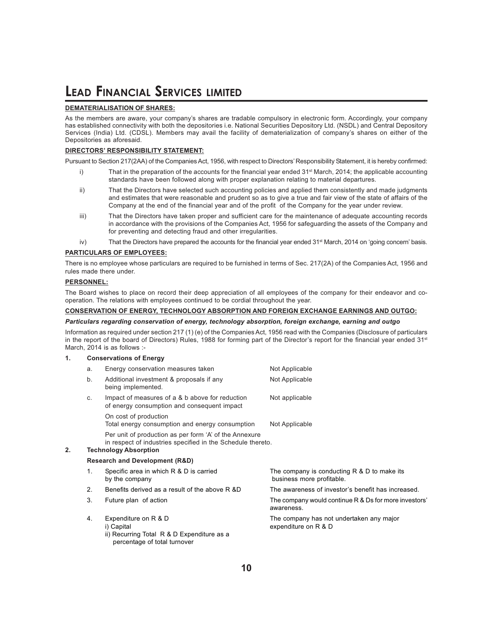### **DEMATERIALISATION OF SHARES:**

As the members are aware, your company's shares are tradable compulsory in electronic form. Accordingly, your company has established connectivity with both the depositories i.e. National Securities Depository Ltd. (NSDL) and Central Depository Services (India) Ltd. (CDSL). Members may avail the facility of dematerialization of company's shares on either of the Depositories as aforesaid.

# **DIRECTORS' RESPONSIBILITY STATEMENT:**

Pursuant to Section 217(2AA) of the Companies Act, 1956, with respect to Directors' Responsibility Statement, it is hereby confirmed:

- i) That in the preparation of the accounts for the financial year ended 31<sup>st</sup> March, 2014; the applicable accounting standards have been followed along with proper explanation relating to material departures.
- ii) That the Directors have selected such accounting policies and applied them consistently and made judgments and estimates that were reasonable and prudent so as to give a true and fair view of the state of affairs of the Company at the end of the financial year and of the profit of the Company for the year under review.
- iii) That the Directors have taken proper and sufficient care for the maintenance of adequate accounting records in accordance with the provisions of the Companies Act, 1956 for safeguarding the assets of the Company and for preventing and detecting fraud and other irregularities.
- iv) That the Directors have prepared the accounts for the financial year ended 31<sup>st</sup> March, 2014 on 'going concern' basis.

### **PARTICULARS OF EMPLOYEES:**

There is no employee whose particulars are required to be furnished in terms of Sec. 217(2A) of the Companies Act, 1956 and rules made there under.

### **PERSONNEL:**

The Board wishes to place on record their deep appreciation of all employees of the company for their endeavor and cooperation. The relations with employees continued to be cordial throughout the year.

## **CONSERVATION OF ENERGY, TECHNOLOGY ABSORPTION AND FOREIGN EXCHANGE EARNINGS AND OUTGO:**

#### *Particulars regarding conservation of energy, technology absorption, foreign exchange, earning and outgo*

Information as required under section 217 (1) (e) of the Companies Act, 1956 read with the Companies (Disclosure of particulars in the report of the board of Directors) Rules, 1988 for forming part of the Director's report for the financial year ended 31<sup>st</sup> March, 2014 is as follows :-

| 1. |    | <b>Conservations of Energy</b>                                                                                                                        |                                                                             |
|----|----|-------------------------------------------------------------------------------------------------------------------------------------------------------|-----------------------------------------------------------------------------|
|    | a. | Energy conservation measures taken                                                                                                                    | Not Applicable                                                              |
|    | b. | Additional investment & proposals if any<br>being implemented.                                                                                        | Not Applicable                                                              |
|    | C. | Impact of measures of a & b above for reduction<br>of energy consumption and consequent impact                                                        | Not applicable                                                              |
|    |    | On cost of production<br>Total energy consumption and energy consumption                                                                              | Not Applicable                                                              |
| 2. |    | Per unit of production as per form 'A' of the Annexure<br>in respect of industries specified in the Schedule thereto.<br><b>Technology Absorption</b> |                                                                             |
|    |    | <b>Research and Development (R&amp;D)</b>                                                                                                             |                                                                             |
|    | 1. | Specific area in which R & D is carried<br>by the company                                                                                             | The company is conducting $R \& D$ to make its<br>business more profitable. |
|    | 2. | Benefits derived as a result of the above R &D                                                                                                        | The awareness of investor's benefit has increased.                          |
|    | 3. | Future plan of action                                                                                                                                 | The company would continue R & Ds for more investors'<br>awareness.         |
|    | 4. | Expenditure on R & D<br>i) Capital<br>ii) Recurring Total R & D Expenditure as a<br>percentage of total turnover                                      | The company has not undertaken any major<br>expenditure on R & D            |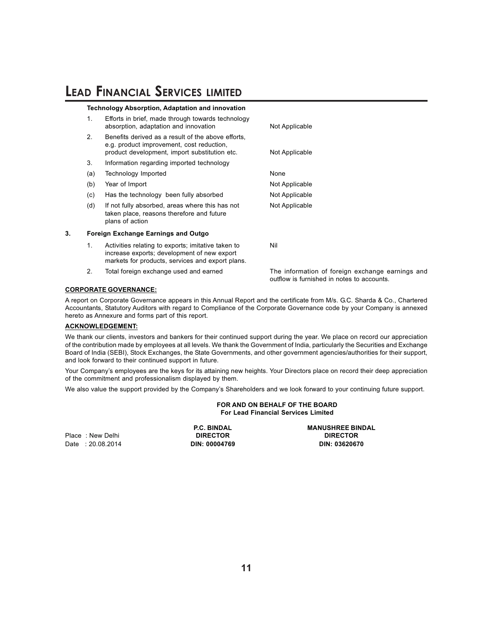### **Technology Absorption, Adaptation and innovation**

- 1. Efforts in brief, made through towards technology absorption, adaptation and innovation Not Applicable 2. Benefits derived as a result of the above efforts,
- e.g. product improvement, cost reduction, product development, import substitution etc. Not Applicable
- 3. Information regarding imported technology
- (a) Technology Imported None
- (b) Year of Import Not Applicable
- (c) Has the technology been fully absorbed Not Applicable
- (d) If not fully absorbed, areas where this has not Not Applicable taken place, reasons therefore and future plans of action

## **3. Foreign Exchange Earnings and Outgo**

- 1. Activities relating to exports; imitative taken to Nil increase exports; development of new export markets for products, services and export plans.
- 

2. Total foreign exchange used and earned The information of foreign exchange earnings and outflow is furnished in notes to accounts.

## **CORPORATE GOVERNANCE:**

A report on Corporate Governance appears in this Annual Report and the certificate from M/s. G.C. Sharda & Co., Chartered Accountants, Statutory Auditors with regard to Compliance of the Corporate Governance code by your Company is annexed hereto as Annexure and forms part of this report.

### **ACKNOWLEDGEMENT:**

We thank our clients, investors and bankers for their continued support during the year. We place on record our appreciation of the contribution made by employees at all levels. We thank the Government of India, particularly the Securities and Exchange Board of India (SEBI), Stock Exchanges, the State Governments, and other government agencies/authorities for their support, and look forward to their continued support in future.

Your Company's employees are the keys for its attaining new heights. Your Directors place on record their deep appreciation of the commitment and professionalism displayed by them.

We also value the support provided by the Company's Shareholders and we look forward to your continuing future support.

## **FOR AND ON BEHALF OF THE BOARD For Lead Financial Services Limited**

|                   | <b>P.C. BINDAL</b> | <b>MANUSHREE BINDAL</b> |
|-------------------|--------------------|-------------------------|
| Place : New Delhi | <b>DIRECTOR</b>    | <b>DIRECTOR</b>         |
| Date : 20.08.2014 | DIN: 00004769      | DIN: 03620670           |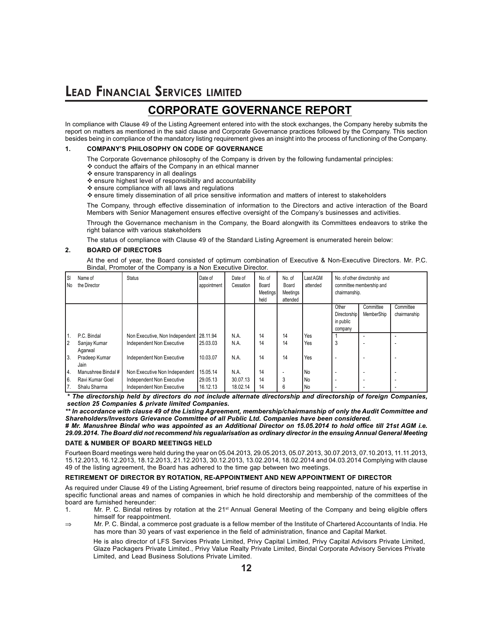# **CORPORATE GOVERNANCE REPORT**

In compliance with Clause 49 of the Listing Agreement entered into with the stock exchanges, the Company hereby submits the report on matters as mentioned in the said clause and Corporate Governance practices followed by the Company. This section besides being in compliance of the mandatory listing requirement gives an insight into the process of functioning of the Company.

# **1. COMPANY'S PHILOSOPHY ON CODE OF GOVERNANCE**

The Corporate Governance philosophy of the Company is driven by the following fundamental principles:

- v conduct the affairs of the Company in an ethical manner
- v ensure transparency in all dealings

v ensure highest level of responsibility and accountability v ensure compliance with all laws and regulations

v ensure timely dissemination of all price sensitive information and matters of interest to stakeholders

The Company, through effective dissemination of information to the Directors and active interaction of the Board Members with Senior Management ensures effective oversight of the Company's businesses and activities.

Through the Governance mechanism in the Company, the Board alongwith its Committees endeavors to strike the right balance with various stakeholders

The status of compliance with Clause 49 of the Standard Listing Agreement is enumerated herein below:

## **2. BOARD OF DIRECTORS**

At the end of year, the Board consisted of optimum combination of Executive & Non-Executive Directors. Mr. P.C. Bindal, Promoter of the Company is a Non Executive Director.

| Isı<br>l No | Name of<br>the Director | <b>Status</b>                           | Date of<br>appointment | Date of<br>Cessation | No. of<br>Board<br><b>Meetings</b><br>held | No. of<br>Board<br>Meetings<br>attended | Last AGM<br>attended | No. of other directorship and<br>committee membership and<br>chairmanship. |            |              |
|-------------|-------------------------|-----------------------------------------|------------------------|----------------------|--------------------------------------------|-----------------------------------------|----------------------|----------------------------------------------------------------------------|------------|--------------|
|             |                         |                                         |                        |                      |                                            |                                         |                      | Other                                                                      | Committee  | Committee    |
|             |                         |                                         |                        |                      |                                            |                                         |                      | Directorship I                                                             | MemberShip | chairmanship |
|             |                         |                                         |                        |                      |                                            |                                         |                      | in public                                                                  |            |              |
|             |                         |                                         |                        |                      |                                            |                                         |                      | company                                                                    |            |              |
| I1.         | P.C. Bindal             | Non Executive, Non Independent 28.11.94 |                        | N.A.                 | 14                                         | 14                                      | Yes                  |                                                                            |            |              |
| 12          | Sanjay Kumar<br>Agarwal | Independent Non Executive               | 25.03.03               | N.A.                 | 14                                         | 14                                      | Yes                  | 3                                                                          |            |              |
| 13.         | Pradeep Kumar<br>Jain   | Independent Non Executive               | 10.03.07               | N.A.                 | 14                                         | 14                                      | Yes                  |                                                                            |            |              |
| 14.         | Manushree Bindal #      | Non Executive Non Independent           | 15.05.14               | N.A.                 | 14                                         |                                         | l No                 |                                                                            |            |              |
| 16.         | Ravi Kumar Goel         | Independent Non Executive               | 29.05.13               | 30.07.13             | 14                                         | 3                                       | l No                 |                                                                            |            |              |
| 17.         | Shalu Sharma            | Independent Non Executive               | 16.12.13               | 18.02.14             | 14                                         | 6                                       | l No                 |                                                                            |            |              |

*\* The directorship held by directors do not include alternate directorship and directorship of foreign Companies, section 25 Companies & private limited Companies.*

*\*\* In accordance with clause 49 of the Listing Agreement, membership/chairmanship of only the Audit Committee and Shareholders/Investors Grievance Committee of all Public Ltd. Companies have been considered.*

*# Mr. Manushree Bindal who was appointed as an Additional Director on 15.05.2014 to hold office till 21st AGM i.e. 29.09.2014. The Board did not recommend his regualarisation as ordinary director in the ensuing Annual General Meeting*

# **DATE & NUMBER OF BOARD MEETINGS HELD**

Fourteen Board meetings were held during the year on 05.04.2013, 29.05.2013, 05.07.2013, 30.07.2013, 07.10.2013, 11.11.2013, 15.12.2013, 16.12.2013, 18.12.2013, 21.12.2013, 30.12.2013, 13.02.2014, 18.02.2014 and 04.03.2014 Complying with clause 49 of the listing agreement, the Board has adhered to the time gap between two meetings.

### **RETIREMENT OF DIRECTOR BY ROTATION, RE-APPOINTMENT AND NEW APPOINTMENT OF DIRECTOR**

As required under Clause 49 of the Listing Agreement, brief resume of directors being reappointed, nature of his expertise in specific functional areas and names of companies in which he hold directorship and membership of the committees of the board are furnished hereunder:

- 1. Mr. P. C. Bindal retires by rotation at the 21st Annual General Meeting of the Company and being eligible offers himself for reappointment.
- ⇒ Mr. P. C. Bindal, a commerce post graduate is a fellow member of the Institute of Chartered Accountants of India. He has more than 30 years of vast experience in the field of administration, finance and Capital Market.

He is also director of LFS Services Private Limited, Privy Capital Limited, Privy Capital Advisors Private Limited, Glaze Packagers Private Limited., Privy Value Realty Private Limited, Bindal Corporate Advisory Services Private Limited, and Lead Business Solutions Private Limited.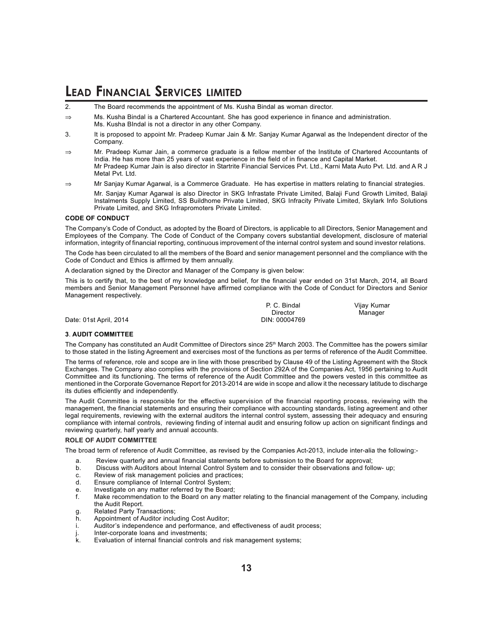- 2. The Board recommends the appointment of Ms. Kusha Bindal as woman director.
- ⇒ Ms. Kusha Bindal is a Chartered Accountant. She has good experience in finance and administration.
- Ms. Kusha BIndal is not a director in any other Company.
- 3. It is proposed to appoint Mr. Pradeep Kumar Jain & Mr. Sanjay Kumar Agarwal as the Independent director of the Company.
- ⇒ Mr. Pradeep Kumar Jain, a commerce graduate is a fellow member of the Institute of Chartered Accountants of India. He has more than 25 years of vast experience in the field of in finance and Capital Market. Mr Pradeep Kumar Jain is also director in Startrite Financial Services Pvt. Ltd., Karni Mata Auto Pvt. Ltd. and A R J Metal Pvt. Ltd.
- ⇒ Mr Sanjay Kumar Agarwal, is a Commerce Graduate. He has expertise in matters relating to financial strategies. Mr. Sanjay Kumar Agarwal is also Director in SKG Infrastate Private Limited, Balaji Fund Growth Limited, Balaji Instalments Supply Limited, SS Buildhome Private Limited, SKG Infracity Private Limited, Skylark Info Solutions Private Limited, and SKG Infrapromoters Private Limited.

### **CODE OF CONDUCT**

The Company's Code of Conduct, as adopted by the Board of Directors, is applicable to all Directors, Senior Management and Employees of the Company. The Code of Conduct of the Company covers substantial development, disclosure of material information, integrity of financial reporting, continuous improvement of the internal control system and sound investor relations.

The Code has been circulated to all the members of the Board and senior management personnel and the compliance with the Code of Conduct and Ethics is affirmed by them annually.

A declaration signed by the Director and Manager of the Company is given below:

This is to certify that, to the best of my knowledge and belief, for the financial year ended on 31st March, 2014, all Board members and Senior Management Personnel have affirmed compliance with the Code of Conduct for Directors and Senior Management respectively.

|                        | P. C. Bindal  | Vijay Kumar |
|------------------------|---------------|-------------|
|                        | Director      | Manager     |
| Date: 01st April, 2014 | DIN: 00004769 |             |

### **3**. **AUDIT COMMITTEE**

The Company has constituted an Audit Committee of Directors since 25<sup>th</sup> March 2003. The Committee has the powers similar to those stated in the listing Agreement and exercises most of the functions as per terms of reference of the Audit Committee.

The terms of reference, role and scope are in line with those prescribed by Clause 49 of the Listing Agreement with the Stock Exchanges. The Company also complies with the provisions of Section 292A of the Companies Act, 1956 pertaining to Audit Committee and its functioning. The terms of reference of the Audit Committee and the powers vested in this committee as mentioned in the Corporate Governance Report for 2013-2014 are wide in scope and allow it the necessary latitude to discharge its duties efficiently and independently.

The Audit Committee is responsible for the effective supervision of the financial reporting process, reviewing with the management, the financial statements and ensuring their compliance with accounting standards, listing agreement and other legal requirements, reviewing with the external auditors the internal control system, assessing their adequacy and ensuring compliance with internal controls, reviewing finding of internal audit and ensuring follow up action on significant findings and reviewing quarterly, half yearly and annual accounts.

### **ROLE OF AUDIT COMMITTEE**

The broad term of reference of Audit Committee, as revised by the Companies Act-2013, include inter-alia the following:-

- a. Review quarterly and annual financial statements before submission to the Board for approval;
- b. Discuss with Auditors about Internal Control System and to consider their observations and follow- up;
- c. Review of risk management policies and practices;<br>d. Ensure compliance of Internal Control System;
- Ensure compliance of Internal Control System;
- e. Investigate on any matter referred by the Board;<br>f. Make recommendation to the Board on any matt
- Make recommendation to the Board on any matter relating to the financial management of the Company, including the Audit Report.
- g. Related Party Transactions;<br>h. Appointment of Auditor inclu
- h. Appointment of Auditor including Cost Auditor;
- Auditor's independence and performance, and effectiveness of audit process;
- j. Inter-corporate loans and investments;<br>k. Evaluation of internal financial controls
- Evaluation of internal financial controls and risk management systems;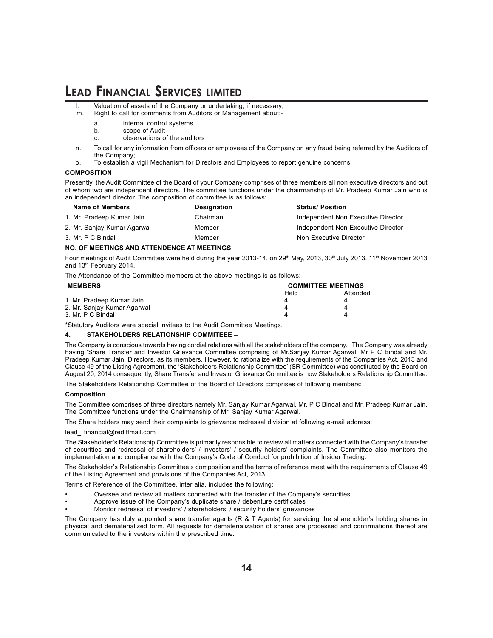- Valuation of assets of the Company or undertaking, if necessary;
- m. Right to call for comments from Auditors or Management about:
	- a. internal control systems
	- b. scope of Audit
	- c. observations of the auditors
- n. To call for any information from officers or employees of the Company on any fraud being referred by the Auditors of the Company;
- o. To establish a vigil Mechanism for Directors and Employees to report genuine concerns;

### **COMPOSITION**

Presently, the Audit Committee of the Board of your Company comprises of three members all non executive directors and out of whom two are independent directors. The committee functions under the chairmanship of Mr. Pradeep Kumar Jain who is an independent director. The composition of committee is as follows:

| Name of Members             | <b>Designation</b> | <b>Status/ Position</b>            |
|-----------------------------|--------------------|------------------------------------|
| 1. Mr. Pradeep Kumar Jain   | Chairman           | Independent Non Executive Director |
| 2. Mr. Sanjay Kumar Agarwal | Member             | Independent Non Executive Director |
| 3. Mr. P C Bindal           | Member             | Non Executive Director             |

### **NO. OF MEETINGS AND ATTENDENCE AT MEETINGS**

Four meetings of Audit Committee were held during the year 2013-14, on 29<sup>th</sup> May, 2013, 30<sup>th</sup> July 2013, 11<sup>th</sup> November 2013 and 13<sup>th</sup> February 2014.

The Attendance of the Committee members at the above meetings is as follows:

| <b>MEMBERS</b>              | <b>COMMITTEE MEETINGS</b> |          |  |
|-----------------------------|---------------------------|----------|--|
|                             | Held                      | Attended |  |
| 1. Mr. Pradeep Kumar Jain   |                           |          |  |
| 2. Mr. Sanjay Kumar Agarwal | Δ                         |          |  |
| 3. Mr. P C Bindal           | Δ                         |          |  |
|                             |                           |          |  |

\*Statutory Auditors were special invitees to the Audit Committee Meetings.

### **4. STAKEHOLDERS RELATIONSHIP COMMITEEE –**

The Company is conscious towards having cordial relations with all the stakeholders of the company. The Company was already having 'Share Transfer and Investor Grievance Committee comprising of Mr.Sanjay Kumar Agarwal, Mr P C Bindal and Mr. Pradeep Kumar Jain, Directors, as its members. However, to rationalize with the requirements of the Companies Act, 2013 and Clause 49 of the Listing Agreement, the 'Stakeholders Relationship Committee' (SR Committee) was constituted by the Board on August 20, 2014 consequently, Share Transfer and Investor Grievance Committee is now Stakeholders Relationship Committee.

The Stakeholders Relationship Committee of the Board of Directors comprises of following members:

### **Composition**

The Committee comprises of three directors namely Mr. Sanjay Kumar Agarwal, Mr. P C Bindal and Mr. Pradeep Kumar Jain. The Committee functions under the Chairmanship of Mr. Sanjay Kumar Agarwal.

The Share holders may send their complaints to grievance redressal division at following e-mail address:

### lead\_ financial@rediffmail.com

The Stakeholder's Relationship Committee is primarily responsible to review all matters connected with the Company's transfer of securities and redressal of shareholders' / investors' / security holders' complaints. The Committee also monitors the implementation and compliance with the Company's Code of Conduct for prohibition of Insider Trading.

The Stakeholder's Relationship Committee's composition and the terms of reference meet with the requirements of Clause 49 of the Listing Agreement and provisions of the Companies Act, 2013.

Terms of Reference of the Committee, inter alia, includes the following:

- Oversee and review all matters connected with the transfer of the Company's securities
- Approve issue of the Company's duplicate share / debenture certificates
- Monitor redressal of investors' / shareholders' / security holders' grievances

The Company has duly appointed share transfer agents (R & T Agents) for servicing the shareholder's holding shares in physical and dematerialized form. All requests for dematerialization of shares are processed and confirmations thereof are communicated to the investors within the prescribed time.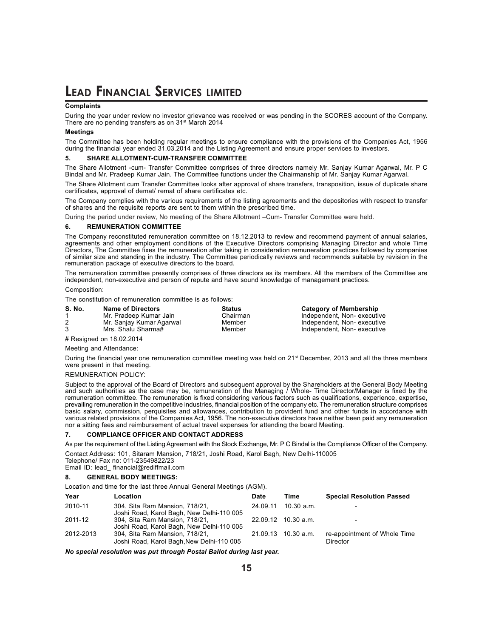# **Complaints**

During the year under review no investor grievance was received or was pending in the SCORES account of the Company. There are no pending transfers as on 31st March 2014

#### **Meetings**

The Committee has been holding regular meetings to ensure compliance with the provisions of the Companies Act, 1956 during the financial year ended 31.03.2014 and the Listing Agreement and ensure proper services to investors.

#### **5. SHARE ALLOTMENT-CUM-TRANSFER COMMITTEE**

The Share Allotment -cum- Transfer Committee comprises of three directors namely Mr. Sanjay Kumar Agarwal, Mr. P C Bindal and Mr. Pradeep Kumar Jain. The Committee functions under the Chairmanship of Mr. Sanjay Kumar Agarwal.

The Share Allotment cum Transfer Committee looks after approval of share transfers, transposition, issue of duplicate share certificates, approval of demat/ remat of share certificates etc.

The Company complies with the various requirements of the listing agreements and the depositories with respect to transfer of shares and the requisite reports are sent to them within the prescribed time.

During the period under review, No meeting of the Share Allotment –Cum- Transfer Committee were held.

#### **6. REMUNERATION COMMITTEE**

The Company reconstituted remuneration committee on 18.12.2013 to review and recommend payment of annual salaries, agreements and other employment conditions of the Executive Directors comprising Managing Director and whole Time Directors, The Committee fixes the remuneration after taking in consideration remuneration practices followed by companies of similar size and standing in the industry. The Committee periodically reviews and recommends suitable by revision in the remuneration package of executive directors to the board.

The remuneration committee presently comprises of three directors as its members. All the members of the Committee are independent, non-executive and person of repute and have sound knowledge of management practices.

Composition:

The constitution of remuneration committee is as follows:

| S. No. | Name of Directors        | <b>Status</b> | <b>Category of Membership</b> |
|--------|--------------------------|---------------|-------------------------------|
|        | Mr. Pradeep Kumar Jain   | Chairman      | Independent, Non-executive    |
| 2      | Mr. Sanjay Kumar Agarwal | Member        | Independent, Non-executive    |
|        | Mrs. Shalu Sharma#       | Member        | Independent, Non-executive    |

# Resigned on 18.02.2014

Meeting and Attendance:

During the financial year one remuneration committee meeting was held on 21<sup>st</sup> December, 2013 and all the three members were present in that meeting.

#### REMUNERATION POLICY:

Subject to the approval of the Board of Directors and subsequent approval by the Shareholders at the General Body Meeting and such authorities as the case may be, remuneration of the Managing / Whole- Time Director/Manager is fixed by the remuneration committee. The remuneration is fixed considering various factors such as qualifications, experience, expertise, prevailing remuneration in the competitive industries, financial position of the company etc. The remuneration structure comprises basic salary, commission, perquisites and allowances, contribution to provident fund and other funds in accordance with various related provisions of the Companies Act, 1956. The non-executive directors have neither been paid any remuneration nor a sitting fees and reimbursement of actual travel expenses for attending the board Meeting.

#### **7. COMPLIANCE OFFICER AND CONTACT ADDRESS**

As per the requirement of the Listing Agreement with the Stock Exchange, Mr. P C Bindal is the Compliance Officer of the Company.

Contact Address: 101, Sitaram Mansion, 718/21, Joshi Road, Karol Bagh, New Delhi-110005 Telephone/ Fax no: 011-23549822/23 Email ID: lead\_ financial@rediffmail.com

# **8. GENERAL BODY MEETINGS:**

Location and time for the last three Annual General Meetings (AGM).

| Year      | Location                                                                    | Date | Time                  | <b>Special Resolution Passed</b>         |
|-----------|-----------------------------------------------------------------------------|------|-----------------------|------------------------------------------|
| 2010-11   | 304. Sita Ram Mansion, 718/21.<br>Joshi Road, Karol Bagh, New Delhi-110 005 |      | 24.09.11 10.30 a.m.   | $\overline{\phantom{0}}$                 |
| 2011-12   | 304. Sita Ram Mansion, 718/21.<br>Joshi Road, Karol Bagh, New Delhi-110 005 |      | $22.09.12$ 10.30 a.m. | $\overline{\phantom{0}}$                 |
| 2012-2013 | 304. Sita Ram Mansion, 718/21.<br>Joshi Road, Karol Bagh, New Delhi-110 005 |      | $21.09.13$ 10.30 a.m. | re-appointment of Whole Time<br>Director |

*No special resolution was put through Postal Ballot during last year.*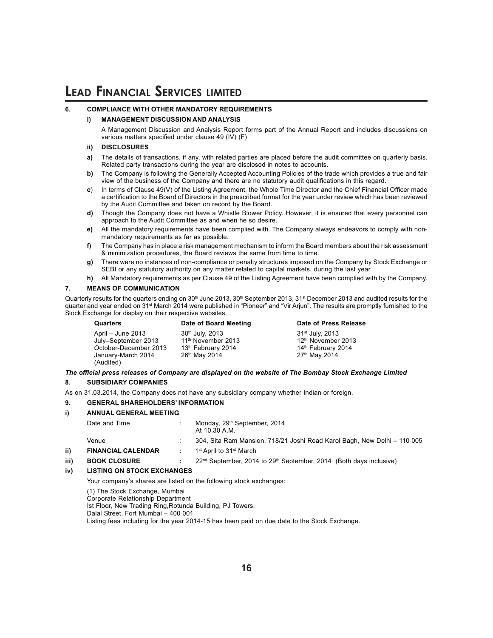# **6. COMPLIANCE WITH OTHER MANDATORY REQUIREMENTS**

## **i) MANAGEMENT DISCUSSION AND ANALYSIS**

A Management Discussion and Analysis Report forms part of the Annual Report and includes discussions on various matters specified under clause 49 (IV) (F)

### **ii) DISCLOSURES**

- **a)** The details of transactions, if any, with related parties are placed before the audit committee on quarterly basis. Related party transactions during the year are disclosed in notes to accounts.
- **b)** The Company is following the Generally Accepted Accounting Policies of the trade which provides a true and fair view of the business of the Company and there are no statutory audit qualifications in this regard.
- **c**) In terms of Clause 49(V) of the Listing Agreement, the Whole Time Director and the Chief Financial Officer made a certification to the Board of Directors in the prescribed format for the year under review which has been reviewed by the Audit Committee and taken on record by the Board.
- **d)** Though the Company does not have a Whistle Blower Policy. However, it is ensured that every personnel can approach to the Audit Committee as and when he so desire.
- **e)** All the mandatory requirements have been complied with. The Company always endeavors to comply with nonmandatory requirements as far as possible.
- **f)** The Company has in place a risk management mechanism to inform the Board members about the risk assessment & minimization procedures, the Board reviews the same from time to time.
- **g)** There were no instances of non-compliance or penalty structures imposed on the Company by Stock Exchange or SEBI or any statutory authority on any matter related to capital markets, during the last year.
- **h)** All Mandatory requirements as per Clause 49 of the Listing Agreement have been complied with by the Company.

### **7. MEANS OF COMMUNICATION**

Quarterly results for the quarters ending on  $30<sup>th</sup>$  June 2013,  $30<sup>th</sup>$  September 2013,  $31<sup>st</sup>$  December 2013 and audited results for the quarter and year ended on 31<sup>st</sup> March 2014 were published in "Pioneer" and "Vir Arjun". The results are promptly furnished to the Stock Exchange for display on their respective websites.

| Quarters  |                       | Date of Board Meeting          | Date of Press Release          |
|-----------|-----------------------|--------------------------------|--------------------------------|
|           | April – June 2013     | 30th July, 2013                | 31 <sup>st</sup> July, 2013    |
|           | July-September 2013   | 11 <sup>th</sup> November 2013 | 12 <sup>th</sup> November 2013 |
| (Audited) | October-December 2013 | 13th February 2014             | 14 <sup>th</sup> February 2014 |
|           | January-March 2014    | 26 <sup>th</sup> May 2014      | 27 <sup>th</sup> May 2014      |

# *The official press releases of Company are displayed on the website of The Bombay Stock Exchange Limited*

# **8. SUBSIDIARY COMPANIES**

As on 31.03.2014, the Company does not have any subsidiary company whether Indian or foreign.

## **9. GENERAL SHAREHOLDERS' INFORMATION**

# **i) ANNUAL GENERAL MEETING**

|     | Date and Time             | Monday, 29 <sup>th</sup> September, 2014<br>At 10.30 A.M.                |
|-----|---------------------------|--------------------------------------------------------------------------|
|     | Venue                     | 304, Sita Ram Mansion, 718/21 Joshi Road Karol Bagh, New Delhi – 110 005 |
| ii) | <b>FINANCIAL CALENDAR</b> | : 1 <sup>st</sup> April to 31 <sup>st</sup> March                        |
|     |                           |                                                                          |

### **iii) BOOK CLOSURE** : 22<sup>nd</sup> September, 2014 to 29<sup>th</sup> September, 2014 (Both days inclusive)

### **iv) LISTING ON STOCK EXCHANGES**

Your company's shares are listed on the following stock exchanges:

(1) The Stock Exchange, Mumbai Corporate Relationship Department Ist Floor, New Trading Ring,Rotunda Building, PJ Towers, Dalal Street, Fort Mumbai – 400 001 Listing fees including for the year 2014-15 has been paid on due date to the Stock Exchange.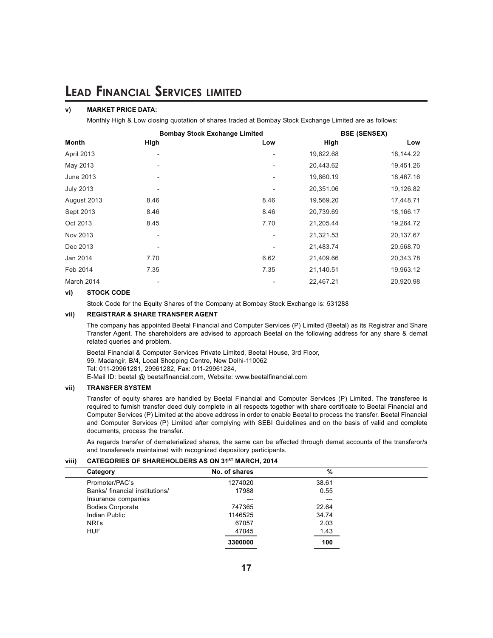# **v) MARKET PRICE DATA:**

Monthly High & Low closing quotation of shares traded at Bombay Stock Exchange Limited are as follows:

|                  |      | <b>Bombay Stock Exchange Limited</b> |           | <b>BSE (SENSEX)</b> |
|------------------|------|--------------------------------------|-----------|---------------------|
| Month            | High | Low                                  | High      | Low                 |
| April 2013       |      |                                      | 19,622.68 | 18,144.22           |
| May 2013         |      |                                      | 20,443.62 | 19,451.26           |
| June 2013        |      |                                      | 19,860.19 | 18,467.16           |
| <b>July 2013</b> | ۰    |                                      | 20,351.06 | 19,126.82           |
| August 2013      | 8.46 | 8.46                                 | 19,569.20 | 17,448.71           |
| Sept 2013        | 8.46 | 8.46                                 | 20,739.69 | 18,166.17           |
| Oct 2013         | 8.45 | 7.70                                 | 21,205.44 | 19,264.72           |
| Nov 2013         |      |                                      | 21,321.53 | 20,137.67           |
| Dec 2013         |      |                                      | 21,483.74 | 20,568.70           |
| Jan 2014         | 7.70 | 6.62                                 | 21,409.66 | 20,343.78           |
| Feb 2014         | 7.35 | 7.35                                 | 21,140.51 | 19,963.12           |
| March 2014       |      |                                      | 22,467.21 | 20,920.98           |

# **vi) STOCK CODE**

Stock Code for the Equity Shares of the Company at Bombay Stock Exchange is: 531288

### **vii) REGISTRAR & SHARE TRANSFER AGENT**

The company has appointed Beetal Financial and Computer Services (P) Limited (Beetal) as its Registrar and Share Transfer Agent. The shareholders are advised to approach Beetal on the following address for any share & demat related queries and problem.

Beetal Financial & Computer Services Private Limited, Beetal House, 3rd Floor, 99, Madangir, B/4, Local Shopping Centre, New Delhi-110062 Tel: 011-29961281, 29961282, Fax: 011-29961284, E-Mail ID: beetal @ beetalfinancial.com, Website: www.beetalfinancial.com

### **vii) TRANSFER SYSTEM**

Transfer of equity shares are handled by Beetal Financial and Computer Services (P) Limited. The transferee is required to furnish transfer deed duly complete in all respects together with share certificate to Beetal Financial and Computer Services (P) Limited at the above address in order to enable Beetal to process the transfer. Beetal Financial and Computer Services (P) Limited after complying with SEBI Guidelines and on the basis of valid and complete documents, process the transfer.

As regards transfer of dematerialized shares, the same can be effected through demat accounts of the transferor/s and transferee/s maintained with recognized depository participants.

# **viii) CATEGORIES OF SHAREHOLDERS AS ON 31ST MARCH, 2014**

| Category                       | No. of shares | %     |
|--------------------------------|---------------|-------|
| Promoter/PAC's                 | 1274020       | 38.61 |
| Banks/ financial institutions/ | 17988         | 0.55  |
| Insurance companies            | ---           |       |
| <b>Bodies Corporate</b>        | 747365        | 22.64 |
| Indian Public                  | 1146525       | 34.74 |
| NRI's                          | 67057         | 2.03  |
| <b>HUF</b>                     | 47045         | 1.43  |
|                                | 3300000       | 100   |
|                                |               |       |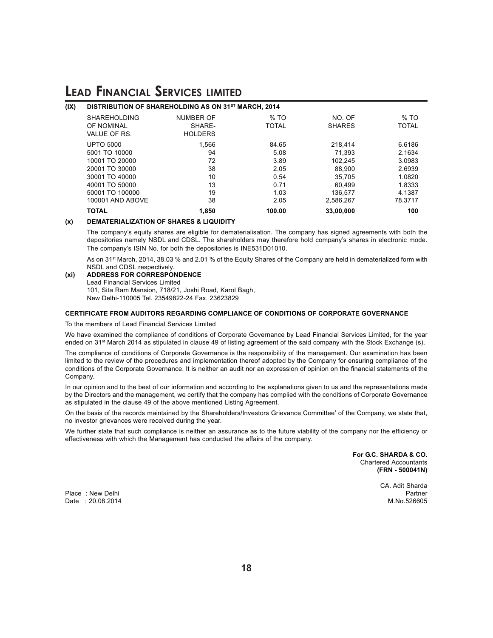# **(IX) DISTRIBUTION OF SHAREHOLDING AS ON 31ST MARCH, 2014** SHAREHOLDING NUMBER OF % TO NO. OF % TO<br>OF NOMINAL SHARE- TOTAL SHARES TOTAL OF NOMINAL SHARE- TOTAL SHARES TOTAL VALUE OF RS. HOLDERS UPTO 5000 1,566 84.65 218,414 6.6186 5001 TO 10000 94 5.08 71,393 2.1634 10001 TO 20000 72 3.89 102,245 3.0983 20001 TO 30000 38 2.05 88,900 2.6939 30001 TO 40000 10 0.54 35,705 1.0820 40001 TO 50000 13 50001 TO 100000 19 1.03 136,577 4.1387 100001 AND ABOVE 38 2.05 2,586,267 **TOTAL 1,850 100.00 33,00,000 100**

### **(x) DEMATERIALIZATION OF SHARES & LIQUIDITY**

The company's equity shares are eligible for dematerialisation. The company has signed agreements with both the depositories namely NSDL and CDSL. The shareholders may therefore hold company's shares in electronic mode. The company's ISIN No. for both the depositories is INE531D01010.

As on 31st March, 2014, 38.03 % and 2.01 % of the Equity Shares of the Company are held in dematerialized form with NSDL and CDSL respectively.

## **(xi) ADDRESS FOR CORRESPONDENCE**

Lead Financial Services Limited 101, Sita Ram Mansion, 718/21, Joshi Road, Karol Bagh, New Delhi-110005 Tel. 23549822-24 Fax. 23623829

### **CERTIFICATE FROM AUDITORS REGARDING COMPLIANCE OF CONDITIONS OF CORPORATE GOVERNANCE**

To the members of Lead Financial Services Limited

We have examined the compliance of conditions of Corporate Governance by Lead Financial Services Limited, for the year ended on 31<sup>st</sup> March 2014 as stipulated in clause 49 of listing agreement of the said company with the Stock Exchange (s).

The compliance of conditions of Corporate Governance is the responsibility of the management. Our examination has been limited to the review of the procedures and implementation thereof adopted by the Company for ensuring compliance of the conditions of the Corporate Governance. It is neither an audit nor an expression of opinion on the financial statements of the Company.

In our opinion and to the best of our information and according to the explanations given to us and the representations made by the Directors and the management, we certify that the company has complied with the conditions of Corporate Governance as stipulated in the clause 49 of the above mentioned Listing Agreement.

On the basis of the records maintained by the Shareholders/Investors Grievance Committee' of the Company, we state that, no investor grievances were received during the year.

We further state that such compliance is neither an assurance as to the future viability of the company nor the efficiency or effectiveness with which the Management has conducted the affairs of the company.

> **For G.C. SHARDA & CO.** Chartered Accountants **(FRN - 500041N)**

> > CA. Adit Sharda

Place : New Delhi Partner Date :  $20.08.2014$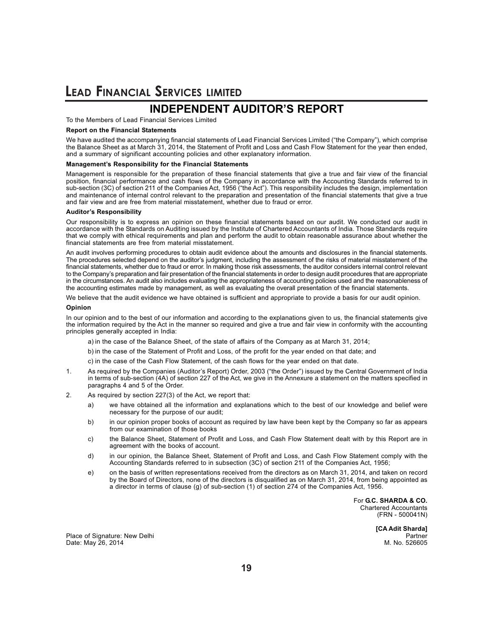# **INDEPENDENT AUDITOR'S REPORT**

To the Members of Lead Financial Services Limited

#### **Report on the Financial Statements**

We have audited the accompanying financial statements of Lead Financial Services Limited ("the Company"), which comprise the Balance Sheet as at March 31, 2014, the Statement of Profit and Loss and Cash Flow Statement for the year then ended, and a summary of significant accounting policies and other explanatory information.

### **Management's Responsibility for the Financial Statements**

Management is responsible for the preparation of these financial statements that give a true and fair view of the financial position, financial performance and cash flows of the Company in accordance with the Accounting Standards referred to in sub-section (3C) of section 211 of the Companies Act, 1956 ("the Act"). This responsibility includes the design, implementation and maintenance of internal control relevant to the preparation and presentation of the financial statements that give a true and fair view and are free from material misstatement, whether due to fraud or error.

### **Auditor's Responsibility**

Our responsibility is to express an opinion on these financial statements based on our audit. We conducted our audit in accordance with the Standards on Auditing issued by the Institute of Chartered Accountants of India. Those Standards require that we comply with ethical requirements and plan and perform the audit to obtain reasonable assurance about whether the financial statements are free from material misstatement.

An audit involves performing procedures to obtain audit evidence about the amounts and disclosures in the financial statements. The procedures selected depend on the auditor's judgment, including the assessment of the risks of material misstatement of the financial statements, whether due to fraud or error. In making those risk assessments, the auditor considers internal control relevant to the Company's preparation and fair presentation of the financial statements in order to design audit procedures that are appropriate in the circumstances. An audit also includes evaluating the appropriateness of accounting policies used and the reasonableness of the accounting estimates made by management, as well as evaluating the overall presentation of the financial statements.

We believe that the audit evidence we have obtained is sufficient and appropriate to provide a basis for our audit opinion.

#### **Opinion**

In our opinion and to the best of our information and according to the explanations given to us, the financial statements give the information required by the Act in the manner so required and give a true and fair view in conformity with the accounting principles generally accepted in India:

- a) in the case of the Balance Sheet, of the state of affairs of the Company as at March 31, 2014;
- b) in the case of the Statement of Profit and Loss, of the profit for the year ended on that date; and
- c) in the case of the Cash Flow Statement, of the cash flows for the year ended on that date.
- 1. As required by the Companies (Auditor's Report) Order, 2003 ("the Order") issued by the Central Government of India in terms of sub-section (4A) of section 227 of the Act, we give in the Annexure a statement on the matters specified in paragraphs 4 and 5 of the Order.
- 2. As required by section 227(3) of the Act, we report that:
	- a) we have obtained all the information and explanations which to the best of our knowledge and belief were necessary for the purpose of our audit;
	- b) in our opinion proper books of account as required by law have been kept by the Company so far as appears from our examination of those books
	- c) the Balance Sheet, Statement of Profit and Loss, and Cash Flow Statement dealt with by this Report are in agreement with the books of account.
	- d) in our opinion, the Balance Sheet, Statement of Profit and Loss, and Cash Flow Statement comply with the Accounting Standards referred to in subsection (3C) of section 211 of the Companies Act, 1956;
	- e) on the basis of written representations received from the directors as on March 31, 2014, and taken on record by the Board of Directors, none of the directors is disqualified as on March 31, 2014, from being appointed as a director in terms of clause (g) of sub-section (1) of section 274 of the Companies Act, 1956.

For **G.C. SHARDA & CO.** Chartered Accountants (FRN - 500041N)

Place of Signature: New Delhi Partner Date: May 26, 2014

**[CA Adit Sharda]**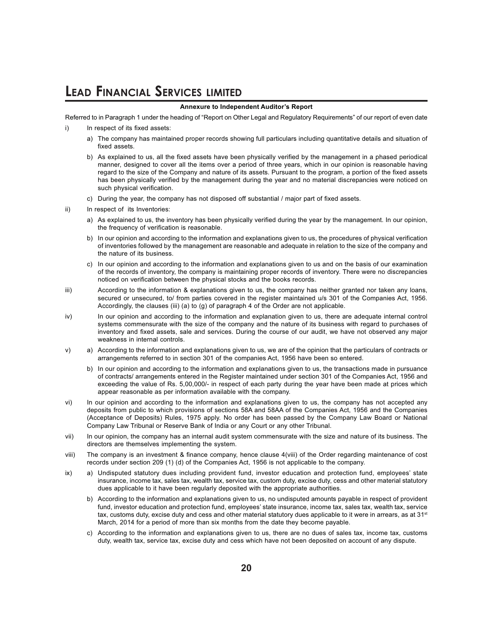## **Annexure to Independent Auditor's Report**

Referred to in Paragraph 1 under the heading of "Report on Other Legal and Regulatory Requirements" of our report of even date

- In respect of its fixed assets:
	- a) The company has maintained proper records showing full particulars including quantitative details and situation of fixed assets.
	- b) As explained to us, all the fixed assets have been physically verified by the management in a phased periodical manner, designed to cover all the items over a period of three years, which in our opinion is reasonable having regard to the size of the Company and nature of its assets. Pursuant to the program, a portion of the fixed assets has been physically verified by the management during the year and no material discrepancies were noticed on such physical verification.
	- c) During the year, the company has not disposed off substantial / major part of fixed assets.
- ii) In respect of its Inventories:
	- a) As explained to us, the inventory has been physically verified during the year by the management. In our opinion, the frequency of verification is reasonable.
	- b) In our opinion and according to the information and explanations given to us, the procedures of physical verification of inventories followed by the management are reasonable and adequate in relation to the size of the company and the nature of its business.
	- c) In our opinion and according to the information and explanations given to us and on the basis of our examination of the records of inventory, the company is maintaining proper records of inventory. There were no discrepancies noticed on verification between the physical stocks and the books records.
- iii) According to the information & explanations given to us, the company has neither granted nor taken any loans, secured or unsecured, to/ from parties covered in the register maintained u/s 301 of the Companies Act, 1956. Accordingly, the clauses (iii) (a) to (g) of paragraph 4 of the Order are not applicable.
- iv) In our opinion and according to the information and explanation given to us, there are adequate internal control systems commensurate with the size of the company and the nature of its business with regard to purchases of inventory and fixed assets, sale and services. During the course of our audit, we have not observed any major weakness in internal controls.
- v) a) According to the information and explanations given to us, we are of the opinion that the particulars of contracts or arrangements referred to in section 301 of the companies Act, 1956 have been so entered.
	- b) In our opinion and according to the information and explanations given to us, the transactions made in pursuance of contracts/ arrangements entered in the Register maintained under section 301 of the Companies Act, 1956 and exceeding the value of Rs. 5,00,000/- in respect of each party during the year have been made at prices which appear reasonable as per information available with the company.
- vi) In our opinion and according to the information and explanations given to us, the company has not accepted any deposits from public to which provisions of sections 58A and 58AA of the Companies Act, 1956 and the Companies (Acceptance of Deposits) Rules, 1975 apply. No order has been passed by the Company Law Board or National Company Law Tribunal or Reserve Bank of India or any Court or any other Tribunal.
- vii) In our opinion, the company has an internal audit system commensurate with the size and nature of its business. The directors are themselves implementing the system.
- viii) The company is an investment & finance company, hence clause 4(viii) of the Order regarding maintenance of cost records under section 209 (1) (d) of the Companies Act, 1956 is not applicable to the company.
- ix) a) Undisputed statutory dues including provident fund, investor education and protection fund, employees' state insurance, income tax, sales tax, wealth tax, service tax, custom duty, excise duty, cess and other material statutory dues applicable to it have been regularly deposited with the appropriate authorities.
	- b) According to the information and explanations given to us, no undisputed amounts payable in respect of provident fund, investor education and protection fund, employees' state insurance, income tax, sales tax, wealth tax, service tax, customs duty, excise duty and cess and other material statutory dues applicable to it were in arrears, as at 31<sup>st</sup> March, 2014 for a period of more than six months from the date they become payable.
	- c) According to the information and explanations given to us, there are no dues of sales tax, income tax, customs duty, wealth tax, service tax, excise duty and cess which have not been deposited on account of any dispute.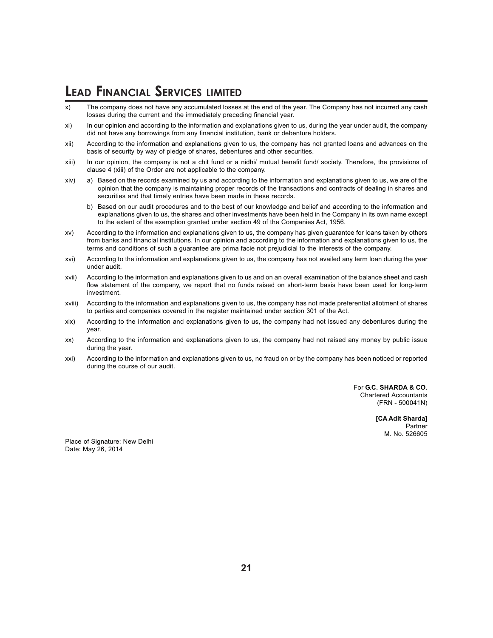- x) The company does not have any accumulated losses at the end of the year. The Company has not incurred any cash losses during the current and the immediately preceding financial year.
- xi) In our opinion and according to the information and explanations given to us, during the year under audit, the company did not have any borrowings from any financial institution, bank or debenture holders.
- xii) According to the information and explanations given to us, the company has not granted loans and advances on the basis of security by way of pledge of shares, debentures and other securities.
- xiii) In our opinion, the company is not a chit fund or a nidhi/ mutual benefit fund/ society. Therefore, the provisions of clause 4 (xiii) of the Order are not applicable to the company.
- xiv) a) Based on the records examined by us and according to the information and explanations given to us, we are of the opinion that the company is maintaining proper records of the transactions and contracts of dealing in shares and securities and that timely entries have been made in these records.
	- b) Based on our audit procedures and to the best of our knowledge and belief and according to the information and explanations given to us, the shares and other investments have been held in the Company in its own name except to the extent of the exemption granted under section 49 of the Companies Act, 1956.
- xv) According to the information and explanations given to us, the company has given guarantee for loans taken by others from banks and financial institutions. In our opinion and according to the information and explanations given to us, the terms and conditions of such a guarantee are prima facie not prejudicial to the interests of the company.
- xvi) According to the information and explanations given to us, the company has not availed any term loan during the year under audit.
- xvii) According to the information and explanations given to us and on an overall examination of the balance sheet and cash flow statement of the company, we report that no funds raised on short-term basis have been used for long-term investment.
- xviii) According to the information and explanations given to us, the company has not made preferential allotment of shares to parties and companies covered in the register maintained under section 301 of the Act.
- xix) According to the information and explanations given to us, the company had not issued any debentures during the year.
- xx) According to the information and explanations given to us, the company had not raised any money by public issue during the year.
- xxi) According to the information and explanations given to us, no fraud on or by the company has been noticed or reported during the course of our audit.

For **G.C. SHARDA & CO.** Chartered Accountants (FRN - 500041N)

> **[CA Adit Sharda] Partner** M. No. 526605

Place of Signature: New Delhi Date: May 26, 2014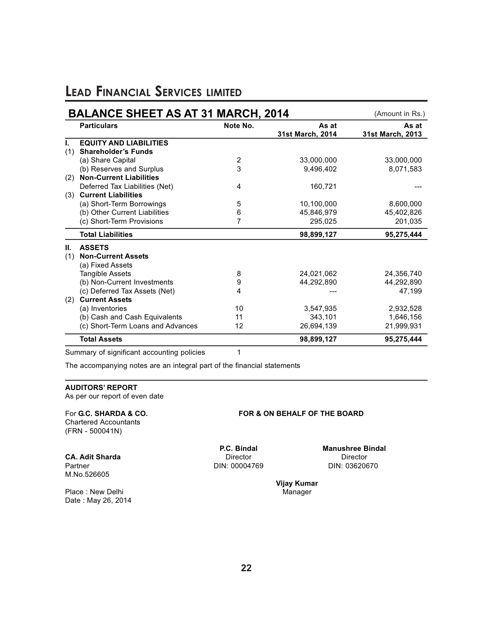|     | <b>BALANCE SHEET AS AT 31 MARCH, 2014</b> |          |                  | (Amount in Rs.)  |
|-----|-------------------------------------------|----------|------------------|------------------|
|     | <b>Particulars</b>                        | Note No. | As at            | As at            |
|     |                                           |          | 31st March, 2014 | 31st March, 2013 |
|     | <b>EQUITY AND LIABILITIES</b>             |          |                  |                  |
| (1) | <b>Shareholder's Funds</b>                |          |                  |                  |
|     | (a) Share Capital                         | 2        | 33,000,000       | 33,000,000       |
|     | (b) Reserves and Surplus                  | 3        | 9.496.402        | 8,071,583        |
| (2) | <b>Non-Current Liabilities</b>            |          |                  |                  |
|     | Deferred Tax Liabilities (Net)            | 4        | 160,721          |                  |
|     | (3) Current Liabilities                   |          |                  |                  |
|     | (a) Short-Term Borrowings                 | 5        | 10,100,000       | 8,600,000        |
|     | (b) Other Current Liabilities             | 6        | 45,846,979       | 45,402,826       |
|     | (c) Short-Term Provisions                 | 7        | 295.025          | 201.035          |
|     | <b>Total Liabilities</b>                  |          | 98,899,127       | 95,275,444       |
| Ш.  | <b>ASSETS</b>                             |          |                  |                  |
| (1) | <b>Non-Current Assets</b>                 |          |                  |                  |
|     | (a) Fixed Assets                          |          |                  |                  |
|     | Tangible Assets                           | 8        | 24.021.062       | 24.356.740       |
|     | (b) Non-Current Investments               | 9        | 44,292,890       | 44,292,890       |
|     | (c) Deferred Tax Assets (Net)             | 4        |                  | 47,199           |
| (2) | <b>Current Assets</b>                     |          |                  |                  |
|     | (a) Inventories                           | 10       | 3.547.935        | 2,932,528        |
|     | (b) Cash and Cash Equivalents             | 11       | 343,101          | 1,646,156        |
|     | (c) Short-Term Loans and Advances         | 12       | 26,694,139       | 21,999,931       |
|     | <b>Total Assets</b>                       |          | 98,899,127       | 95,275,444       |

Summary of significant accounting policies 1

The accompanying notes are an integral part of the financial statements

# **AUDITORS' REPORT**

As per our report of even date

Chartered Accountants (FRN - 500041N)

M.No.526605

Place : New Delhi Date : May 26, 2014

# For **G.C. SHARDA & CO.** FOR & ON BEHALF OF THE BOARD

DIN: 00004769

**P.C. Bindal Manushree Bindal CA. Adit Sharda** Director Director Director Director Director Director Director Director Director Director Director Director Director Director Director Director Director Director Director Director Director Director Direct

**Vijay Kumar**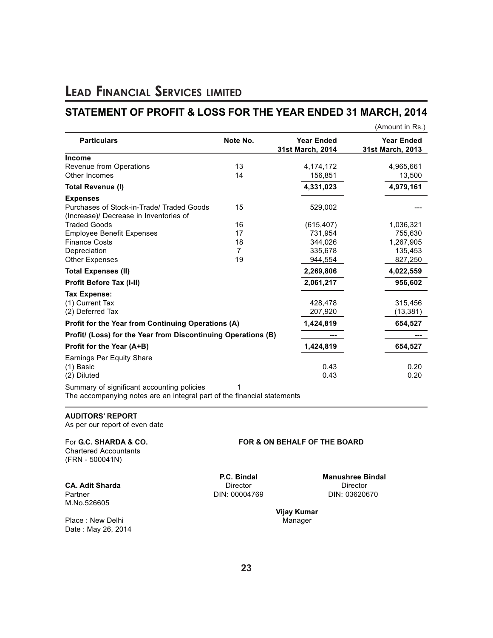# **STATEMENT OF PROFIT & LOSS FOR THE YEAR ENDED 31 MARCH, 2014**

|                                                                                     |          |                                       | (Amount in Rs.)                       |
|-------------------------------------------------------------------------------------|----------|---------------------------------------|---------------------------------------|
| <b>Particulars</b>                                                                  | Note No. | <b>Year Ended</b><br>31st March, 2014 | <b>Year Ended</b><br>31st March, 2013 |
| <b>Income</b>                                                                       |          |                                       |                                       |
| Revenue from Operations                                                             | 13       | 4,174,172                             | 4,965,661                             |
| Other Incomes                                                                       | 14       | 156,851                               | 13,500                                |
| Total Revenue (I)                                                                   |          | 4,331,023                             | 4,979,161                             |
| <b>Expenses</b>                                                                     |          |                                       |                                       |
| Purchases of Stock-in-Trade/ Traded Goods<br>(Increase)/ Decrease in Inventories of | 15       | 529,002                               |                                       |
| <b>Traded Goods</b>                                                                 | 16       | (615, 407)                            | 1,036,321                             |
| <b>Employee Benefit Expenses</b>                                                    | 17       | 731,954                               | 755,630                               |
| <b>Finance Costs</b>                                                                | 18       | 344.026                               | 1,267,905                             |
| Depreciation                                                                        | 7        | 335,678                               | 135,453                               |
| <b>Other Expenses</b>                                                               | 19       | 944,554                               | 827,250                               |
| <b>Total Expenses (II)</b>                                                          |          | 2,269,806                             | 4,022,559                             |
| Profit Before Tax (I-II)                                                            |          | 2,061,217                             | 956,602                               |
| Tax Expense:                                                                        |          |                                       |                                       |
| (1) Current Tax                                                                     |          | 428.478                               | 315.456                               |
| (2) Deferred Tax                                                                    |          | 207,920                               | (13, 381)                             |
| Profit for the Year from Continuing Operations (A)                                  |          | 1,424,819                             | 654,527                               |
| Profit/ (Loss) for the Year from Discontinuing Operations (B)                       |          | ---                                   |                                       |
| Profit for the Year (A+B)                                                           |          | 1,424,819                             | 654,527                               |
| <b>Earnings Per Equity Share</b>                                                    |          |                                       |                                       |
| (1) Basic                                                                           |          | 0.43                                  | 0.20                                  |
| (2) Diluted                                                                         |          | 0.43                                  | 0.20                                  |
| Summary of significant accounting policies                                          | 1        |                                       |                                       |

The accompanying notes are an integral part of the financial statements

# **AUDITORS' REPORT**

As per our report of even date

# For **G.C. SHARDA & CO.** FOR & ON BEHALF OF THE BOARD

Chartered Accountants (FRN - 500041N)

**CA. Adit Sharda**<br>Partner M.No.526605

Place : New Delhi Date : May 26, 2014 DIN: 00004769 DIN: 03620670

**P.C. Bindal Manushree Bindal Director Contains Contains Manushree Bindal** 

**Vijay Kumar**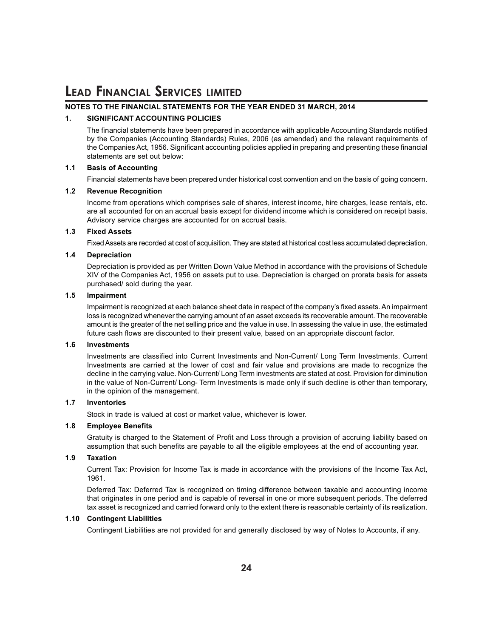# **NOTES TO THE FINANCIAL STATEMENTS FOR THE YEAR ENDED 31 MARCH, 2014**

# **1. SIGNIFICANT ACCOUNTING POLICIES**

The financial statements have been prepared in accordance with applicable Accounting Standards notified by the Companies (Accounting Standards) Rules, 2006 (as amended) and the relevant requirements of the Companies Act, 1956. Significant accounting policies applied in preparing and presenting these financial statements are set out below:

# **1.1 Basis of Accounting**

Financial statements have been prepared under historical cost convention and on the basis of going concern.

# **1.2 Revenue Recognition**

Income from operations which comprises sale of shares, interest income, hire charges, lease rentals, etc. are all accounted for on an accrual basis except for dividend income which is considered on receipt basis. Advisory service charges are accounted for on accrual basis.

# **1.3 Fixed Assets**

FixedAssets are recorded at cost of acquisition. They are stated at historical cost less accumulated depreciation.

# **1.4 Depreciation**

Depreciation is provided as per Written Down Value Method in accordance with the provisions of Schedule XIV of the Companies Act, 1956 on assets put to use. Depreciation is charged on prorata basis for assets purchased/ sold during the year.

# **1.5 Impairment**

Impairment is recognized at each balance sheet date in respect of the company's fixed assets. An impairment loss is recognized whenever the carrying amount of an asset exceeds its recoverable amount. The recoverable amount is the greater of the net selling price and the value in use. In assessing the value in use, the estimated future cash flows are discounted to their present value, based on an appropriate discount factor.

# **1.6 Investments**

Investments are classified into Current Investments and Non-Current/ Long Term Investments. Current Investments are carried at the lower of cost and fair value and provisions are made to recognize the decline in the carrying value. Non-Current/ Long Term investments are stated at cost. Provision for diminution in the value of Non-Current/ Long- Term Investments is made only if such decline is other than temporary, in the opinion of the management.

# **1.7 Inventories**

Stock in trade is valued at cost or market value, whichever is lower.

# **1.8 Employee Benefits**

Gratuity is charged to the Statement of Profit and Loss through a provision of accruing liability based on assumption that such benefits are payable to all the eligible employees at the end of accounting year.

# **1.9 Taxation**

Current Tax: Provision for Income Tax is made in accordance with the provisions of the Income Tax Act, 1961.

Deferred Tax: Deferred Tax is recognized on timing difference between taxable and accounting income that originates in one period and is capable of reversal in one or more subsequent periods. The deferred tax asset is recognized and carried forward only to the extent there is reasonable certainty of its realization.

### **1.10 Contingent Liabilities**

Contingent Liabilities are not provided for and generally disclosed by way of Notes to Accounts, if any.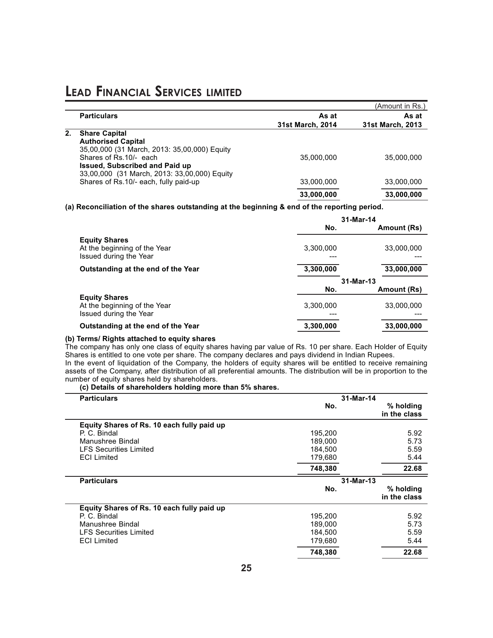|    |                                              |                  | (Amount in Rs.)  |
|----|----------------------------------------------|------------------|------------------|
|    | <b>Particulars</b>                           | As at            | As at            |
|    |                                              | 31st March, 2014 | 31st March, 2013 |
| 2. | <b>Share Capital</b>                         |                  |                  |
|    | <b>Authorised Capital</b>                    |                  |                  |
|    | 35,00,000 (31 March, 2013: 35,00,000) Equity |                  |                  |
|    | Shares of Rs.10/- each                       | 35,000,000       | 35,000,000       |
|    | <b>Issued, Subscribed and Paid up</b>        |                  |                  |
|    | 33,00,000 (31 March, 2013: 33,00,000) Equity |                  |                  |
|    | Shares of Rs.10/- each, fully paid-up        | 33,000,000       | 33,000,000       |
|    |                                              | 33,000,000       | 33,000,000       |

# **(a) Reconciliation of the shares outstanding at the beginning & end of the reporting period.**

|                                                                                | 31-Mar-14        |             |
|--------------------------------------------------------------------------------|------------------|-------------|
|                                                                                | No.              | Amount (Rs) |
| <b>Equity Shares</b><br>At the beginning of the Year<br>Issued during the Year | 3.300.000<br>--- | 33,000,000  |
| Outstanding at the end of the Year                                             | 3,300,000        | 33,000,000  |
|                                                                                |                  |             |
|                                                                                |                  | 31-Mar-13   |
|                                                                                | No.              | Amount (Rs) |
| <b>Equity Shares</b><br>At the beginning of the Year<br>Issued during the Year | 3,300,000        | 33.000.000  |

# **(b) Terms/ Rights attached to equity shares**

The company has only one class of equity shares having par value of Rs. 10 per share. Each Holder of Equity Shares is entitled to one vote per share. The company declares and pays dividend in Indian Rupees. In the event of liquidation of the Company, the holders of equity shares will be entitled to receive remaining

assets of the Company, after distribution of all preferential amounts. The distribution will be in proportion to the number of equity shares held by shareholders.

# **(c) Details of shareholders holding more than 5% shares.**

| <b>Particulars</b>                         |         | 31-Mar-14                 |
|--------------------------------------------|---------|---------------------------|
|                                            | No.     | % holding<br>in the class |
| Equity Shares of Rs. 10 each fully paid up |         |                           |
| P. C. Bindal                               | 195.200 | 5.92                      |
| Manushree Bindal                           | 189,000 | 5.73                      |
| <b>LFS Securities Limited</b>              | 184,500 | 5.59                      |
| <b>ECI Limited</b>                         | 179,680 | 5.44                      |
|                                            | 748.380 | 22.68                     |
|                                            |         |                           |
| <b>Particulars</b>                         |         | 31-Mar-13                 |
|                                            | No.     | % holding<br>in the class |
| Equity Shares of Rs. 10 each fully paid up |         |                           |
| P. C. Bindal                               | 195,200 | 5.92                      |
| Manushree Bindal                           | 189,000 | 5.73                      |
| <b>LFS Securities Limited</b>              | 184,500 | 5.59                      |
| <b>ECI Limited</b>                         | 179.680 | 5.44                      |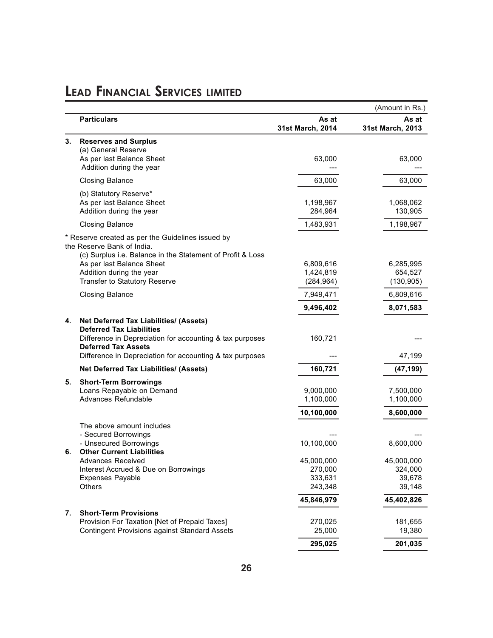|    |                                                                                             |                           | (Amount in Rs.)           |
|----|---------------------------------------------------------------------------------------------|---------------------------|---------------------------|
|    | <b>Particulars</b>                                                                          | As at<br>31st March, 2014 | As at<br>31st March, 2013 |
| 3. | <b>Reserves and Surplus</b>                                                                 |                           |                           |
|    | (a) General Reserve                                                                         |                           |                           |
|    | As per last Balance Sheet<br>Addition during the year                                       | 63,000                    | 63,000                    |
|    | <b>Closing Balance</b>                                                                      | 63,000                    | 63,000                    |
|    |                                                                                             |                           |                           |
|    | (b) Statutory Reserve*<br>As per last Balance Sheet                                         | 1,198,967                 | 1,068,062                 |
|    | Addition during the year                                                                    | 284,964                   | 130,905                   |
|    | <b>Closing Balance</b>                                                                      | 1,483,931                 | 1,198,967                 |
|    | * Reserve created as per the Guidelines issued by                                           |                           |                           |
|    | the Reserve Bank of India.                                                                  |                           |                           |
|    | (c) Surplus i.e. Balance in the Statement of Profit & Loss                                  |                           |                           |
|    | As per last Balance Sheet                                                                   | 6,809,616                 | 6,285,995                 |
|    | Addition during the year<br>Transfer to Statutory Reserve                                   | 1,424,819<br>(284, 964)   | 654,527<br>(130, 905)     |
|    |                                                                                             |                           |                           |
|    | <b>Closing Balance</b>                                                                      | 7,949,471                 | 6,809,616                 |
|    |                                                                                             | 9,496,402                 | 8,071,583                 |
| 4. | Net Deferred Tax Liabilities/ (Assets)                                                      |                           |                           |
|    | <b>Deferred Tax Liabilities</b><br>Difference in Depreciation for accounting & tax purposes | 160,721                   |                           |
|    | <b>Deferred Tax Assets</b>                                                                  |                           |                           |
|    | Difference in Depreciation for accounting & tax purposes                                    |                           | 47,199                    |
|    | Net Deferred Tax Liabilities/ (Assets)                                                      | 160,721                   | (47, 199)                 |
| 5. | <b>Short-Term Borrowings</b>                                                                |                           |                           |
|    | Loans Repayable on Demand                                                                   | 9,000,000                 | 7,500,000                 |
|    | Advances Refundable                                                                         | 1,100,000                 | 1,100,000                 |
|    |                                                                                             | 10,100,000                | 8,600,000                 |
|    | The above amount includes                                                                   |                           |                           |
|    | - Secured Borrowings                                                                        |                           |                           |
| 6. | - Unsecured Borrowings<br><b>Other Current Liabilities</b>                                  | 10,100,000                | 8,600,000                 |
|    | Advances Received                                                                           | 45,000,000                | 45,000,000                |
|    | Interest Accrued & Due on Borrowings                                                        | 270,000                   | 324,000                   |
|    | <b>Expenses Payable</b>                                                                     | 333,631                   | 39,678                    |
|    | <b>Others</b>                                                                               | 243,348                   | 39,148                    |
|    |                                                                                             | 45,846,979                | 45,402,826                |
| 7. | <b>Short-Term Provisions</b>                                                                |                           |                           |
|    | Provision For Taxation [Net of Prepaid Taxes]                                               | 270,025                   | 181,655                   |
|    | <b>Contingent Provisions against Standard Assets</b>                                        | 25,000                    | 19,380                    |
|    |                                                                                             | 295,025                   | 201,035                   |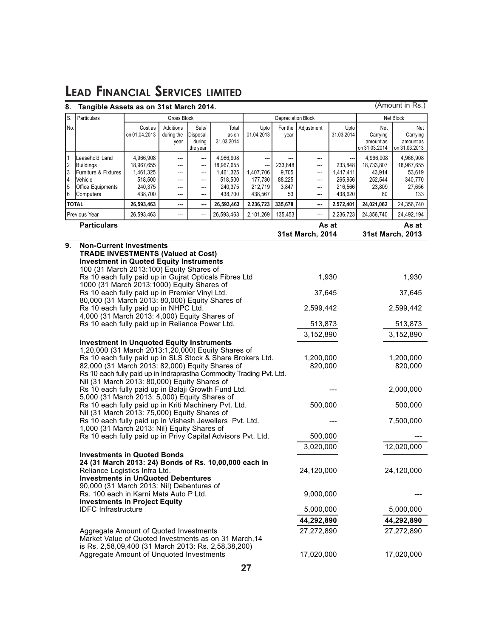# **8. Tangible Assets as on 31st March 2014.**

(Amount in Rs.)

| S.                                                                                                                                                                                                                                                                                              | Particulars                                                                                                                                                               | Gross Block                                                           |                                        |                                         | Depreciation Block                                                    |                                                          |                                                  |                                        | Net Block                                             |                                                              |                                                               |
|-------------------------------------------------------------------------------------------------------------------------------------------------------------------------------------------------------------------------------------------------------------------------------------------------|---------------------------------------------------------------------------------------------------------------------------------------------------------------------------|-----------------------------------------------------------------------|----------------------------------------|-----------------------------------------|-----------------------------------------------------------------------|----------------------------------------------------------|--------------------------------------------------|----------------------------------------|-------------------------------------------------------|--------------------------------------------------------------|---------------------------------------------------------------|
| No.                                                                                                                                                                                                                                                                                             |                                                                                                                                                                           | Cost as<br>on 01.04.2013                                              | <b>Additions</b><br>during the<br>year | Sale/<br>Disposal<br>during<br>the year | Total<br>as on<br>31.03.2014                                          | Upto<br>01.04.2013                                       | For the<br>year                                  | Adjustment                             | Upto<br>31.03.2014                                    | Net<br>Carrying<br>amount as<br>on 31.03.2014                | Net<br>Carrying<br>amount as<br>on 31.03.2013                 |
| $\mathbf{1}$<br>2<br>3<br>4<br>5<br>6                                                                                                                                                                                                                                                           | Leasehold Land<br>Buildings<br>Furniture & Fixtures<br><b>Vehicle</b><br><b>Office Equipments</b><br>Computers                                                            | 4,966,908<br>18,967,655<br>1,461,325<br>518,500<br>240,375<br>438,700 | ---<br>---<br>---<br>---<br>---<br>--- | ---<br>---<br>---<br>---<br>---<br>---  | 4,966,908<br>18,967,655<br>1,461,325<br>518,500<br>240,375<br>438,700 | ---<br>---<br>1,407,706<br>177,730<br>212,719<br>438,567 | ---<br>233,848<br>9,705<br>88,225<br>3,847<br>53 | ---<br>---<br>---<br>---<br>---<br>--- | 233.848<br>1,417,411<br>265,956<br>216,566<br>438,620 | 4,966,908<br>18,733,807<br>43,914<br>252,544<br>23,809<br>80 | 4,966,908<br>18,967,655<br>53,619<br>340,770<br>27,656<br>133 |
|                                                                                                                                                                                                                                                                                                 | <b>TOTAL</b>                                                                                                                                                              | 26,593,463                                                            | ---                                    | ---                                     | 26,593,463                                                            | 2,236,723                                                | 335,678                                          | ---                                    | 2,572,401                                             | 24,021,062                                                   | 24,356,740                                                    |
|                                                                                                                                                                                                                                                                                                 | Previous Year                                                                                                                                                             | 26,593,463                                                            | ---                                    | ---                                     | 26,593,463                                                            | 2,101,269                                                | 135,453                                          | ---                                    | 2,236,723                                             | 24,356,740                                                   | 24,492,194                                                    |
|                                                                                                                                                                                                                                                                                                 | <b>Particulars</b>                                                                                                                                                        |                                                                       |                                        |                                         |                                                                       |                                                          |                                                  | As at<br>31st March, 2014              |                                                       |                                                              | As at<br>31st March, 2013                                     |
| 9.                                                                                                                                                                                                                                                                                              | <b>Non-Current Investments</b><br><b>TRADE INVESTMENTS (Valued at Cost)</b><br><b>Investment in Quoted Equity Instruments</b><br>100 (31 March 2013:100) Equity Shares of |                                                                       |                                        |                                         |                                                                       |                                                          |                                                  |                                        |                                                       |                                                              |                                                               |
|                                                                                                                                                                                                                                                                                                 | Rs 10 each fully paid up in Gujrat Opticals Fibres Ltd<br>1000 (31 March 2013:1000) Equity Shares of<br>Rs 10 each fully paid up in Premier Vinyl Ltd.                    |                                                                       |                                        |                                         |                                                                       |                                                          |                                                  | 1,930                                  |                                                       |                                                              | 1,930                                                         |
|                                                                                                                                                                                                                                                                                                 | 80,000 (31 March 2013: 80,000) Equity Shares of<br>Rs 10 each fully paid up in NHPC Ltd.                                                                                  |                                                                       |                                        |                                         |                                                                       |                                                          |                                                  | 37,645<br>2,599,442                    |                                                       |                                                              | 37,645<br>2,599,442                                           |
|                                                                                                                                                                                                                                                                                                 | 4,000 (31 March 2013: 4,000) Equity Shares of<br>Rs 10 each fully paid up in Reliance Power Ltd.                                                                          |                                                                       |                                        |                                         |                                                                       |                                                          |                                                  | 513,873                                |                                                       |                                                              | 513,873                                                       |
|                                                                                                                                                                                                                                                                                                 |                                                                                                                                                                           |                                                                       |                                        |                                         |                                                                       |                                                          | 3,152,890                                        |                                        |                                                       | 3,152,890                                                    |                                                               |
| <b>Investment in Unquoted Equity Instruments</b><br>1,20,000 (31 March 2013:1,20,000) Equity Shares of<br>Rs 10 each fully paid up in SLS Stock & Share Brokers Ltd.<br>82,000 (31 March 2013: 82,000) Equity Shares of<br>Rs 10 each fully paid up in Indraprastha Commodity Trading Pvt. Ltd. |                                                                                                                                                                           |                                                                       |                                        |                                         |                                                                       |                                                          | 1,200,000<br>820,000                             |                                        |                                                       | 1,200,000<br>820,000                                         |                                                               |
| Nil (31 March 2013: 80,000) Equity Shares of<br>Rs 10 each fully paid up in Balaji Growth Fund Ltd.<br>5,000 (31 March 2013: 5,000) Equity Shares of                                                                                                                                            |                                                                                                                                                                           |                                                                       |                                        |                                         |                                                                       |                                                          |                                                  |                                        | 2,000,000                                             |                                                              |                                                               |
| Rs 10 each fully paid up in Kriti Machinery Pvt. Ltd.<br>Nil (31 March 2013: 75,000) Equity Shares of                                                                                                                                                                                           |                                                                                                                                                                           |                                                                       |                                        |                                         |                                                                       | 500,000                                                  |                                                  |                                        | 500,000                                               |                                                              |                                                               |
|                                                                                                                                                                                                                                                                                                 | Rs 10 each fully paid up in Vishesh Jewellers Pvt. Ltd.<br>1,000 (31 March 2013: Nil) Equity Shares of                                                                    |                                                                       |                                        |                                         |                                                                       |                                                          |                                                  |                                        |                                                       | 7,500,000                                                    |                                                               |
|                                                                                                                                                                                                                                                                                                 | Rs 10 each fully paid up in Privy Capital Advisors Pvt. Ltd.                                                                                                              |                                                                       |                                        |                                         |                                                                       |                                                          | 500,000                                          |                                        |                                                       |                                                              |                                                               |
|                                                                                                                                                                                                                                                                                                 | <b>Investments in Quoted Bonds</b>                                                                                                                                        |                                                                       |                                        |                                         |                                                                       |                                                          |                                                  | 3,020,000                              |                                                       |                                                              | 12,020,000                                                    |
|                                                                                                                                                                                                                                                                                                 | 24 (31 March 2013: 24) Bonds of Rs. 10,00,000 each in<br>Reliance Logistics Infra Ltd.<br><b>Investments in UnQuoted Debentures</b>                                       |                                                                       |                                        |                                         |                                                                       |                                                          |                                                  | 24,120,000                             |                                                       |                                                              | 24,120,000                                                    |
|                                                                                                                                                                                                                                                                                                 | 90,000 (31 March 2013: Nil) Debentures of<br>Rs. 100 each in Karni Mata Auto P Ltd.<br><b>Investments in Project Equity</b>                                               |                                                                       |                                        |                                         |                                                                       |                                                          |                                                  | 9,000,000                              |                                                       |                                                              |                                                               |
|                                                                                                                                                                                                                                                                                                 | <b>IDFC</b> Infrastructure                                                                                                                                                |                                                                       |                                        |                                         |                                                                       |                                                          |                                                  | 5,000,000                              |                                                       |                                                              | 5,000,000                                                     |
|                                                                                                                                                                                                                                                                                                 |                                                                                                                                                                           |                                                                       |                                        |                                         |                                                                       |                                                          |                                                  | 44,292,890                             |                                                       |                                                              | 44,292,890                                                    |
|                                                                                                                                                                                                                                                                                                 | Aggregate Amount of Quoted Investments<br>Market Value of Quoted Investments as on 31 March, 14<br>is Rs. 2,58,09,400 (31 March 2013: Rs. 2,58,38,200)                    |                                                                       |                                        |                                         |                                                                       |                                                          |                                                  | 27,272,890                             |                                                       |                                                              | 27,272,890                                                    |
|                                                                                                                                                                                                                                                                                                 | Aggregate Amount of Unquoted Investments                                                                                                                                  |                                                                       |                                        |                                         |                                                                       |                                                          |                                                  | 17,020,000                             |                                                       |                                                              | 17,020,000                                                    |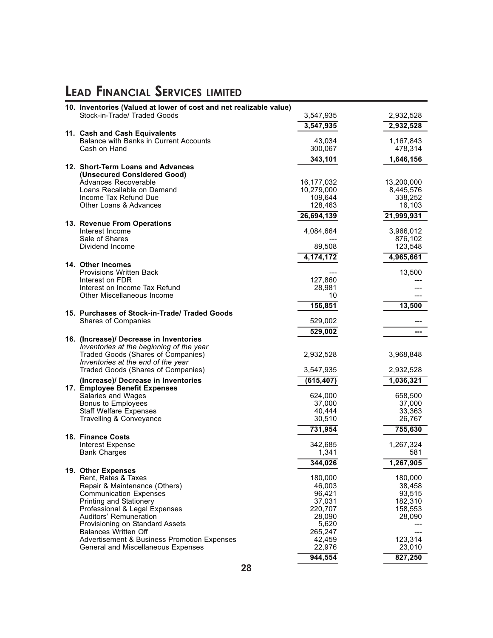| 10. Inventories (Valued at lower of cost and net realizable value) |            |            |
|--------------------------------------------------------------------|------------|------------|
| Stock-in-Trade/ Traded Goods                                       | 3,547,935  | 2,932,528  |
|                                                                    |            |            |
|                                                                    | 3,547,935  | 2,932,528  |
| 11. Cash and Cash Equivalents                                      |            |            |
| Balance with Banks in Current Accounts                             | 43,034     | 1,167,843  |
| Cash on Hand                                                       | 300,067    | 478,314    |
|                                                                    | 343,101    | 1,646,156  |
| 12. Short-Term Loans and Advances                                  |            |            |
|                                                                    |            |            |
| (Unsecured Considered Good)                                        |            |            |
| Advances Recoverable                                               | 16,177,032 | 13,200,000 |
| Loans Recallable on Demand                                         | 10,279,000 | 8,445,576  |
| Income Tax Refund Due                                              | 109,644    | 338,252    |
| Other Loans & Advances                                             | 128,463    | 16,103     |
|                                                                    | 26,694,139 | 21,999,931 |
| 13. Revenue From Operations                                        |            |            |
|                                                                    |            |            |
| Interest Income                                                    | 4,084,664  | 3,966,012  |
| Sale of Shares                                                     |            | 876,102    |
| Dividend Income                                                    | 89,508     | 123,548    |
|                                                                    | 4,174,172  | 4,965,661  |
| 14. Other Incomes                                                  |            |            |
| Provisions Written Back                                            |            | 13,500     |
| Interest on FDR                                                    | 127,860    |            |
|                                                                    |            |            |
| Interest on Income Tax Refund                                      | 28,981     |            |
| Other Miscellaneous Income                                         | 10         |            |
|                                                                    | 156,851    | 13,500     |
| 15. Purchases of Stock-in-Trade/ Traded Goods                      |            |            |
| <b>Shares of Companies</b>                                         | 529,002    |            |
|                                                                    |            |            |
|                                                                    | 529,002    | ---        |
| 16. (Increase)/ Decrease in Inventories                            |            |            |
| Inventories at the beginning of the year                           |            |            |
| Traded Goods (Shares of Companies)                                 | 2,932,528  | 3,968,848  |
| Inventories at the end of the year                                 |            |            |
| Traded Goods (Shares of Companies)                                 | 3,547,935  | 2,932,528  |
|                                                                    |            |            |
| (Increase)/ Decrease in Inventories                                | (615, 407) | 1,036,321  |
| 17. Employee Benefit Expenses                                      |            |            |
| Salaries and Wages                                                 | 624,000    | 658,500    |
| Bonus to Employees                                                 | 37,000     | 37,000     |
| <b>Staff Welfare Expenses</b>                                      | 40,444     | 33,363     |
| Travelling & Conveyance                                            | 30,510     | 26,767     |
|                                                                    | 731,954    | 755,630    |
| 18. Finance Costs                                                  |            |            |
|                                                                    |            |            |
| Interest Expense                                                   | 342,685    | 1,267,324  |
| <b>Bank Charges</b>                                                | 1,341      | 581        |
|                                                                    | 344,026    | 1,267,905  |
| 19. Other Expenses                                                 |            |            |
| Rent, Rates & Taxes                                                | 180,000    | 180,000    |
| Repair & Maintenance (Others)                                      | 46,003     | 38,458     |
| <b>Communication Expenses</b>                                      | 96.421     | 93,515     |
| <b>Printing and Stationery</b>                                     | 37,031     | 182,310    |
|                                                                    |            |            |
| Professional & Legal Expenses                                      | 220,707    | 158,553    |
| Auditors' Remuneration                                             | 28,090     | 28,090     |
| Provisioning on Standard Assets                                    | 5,620      |            |
| <b>Balances Written Off</b>                                        | 265,247    |            |
| <b>Advertisement &amp; Business Promotion Expenses</b>             | 42,459     | 123,314    |
| General and Miscellaneous Expenses                                 | 22,976     | 23,010     |
|                                                                    | 944,554    | 827,250    |
|                                                                    |            |            |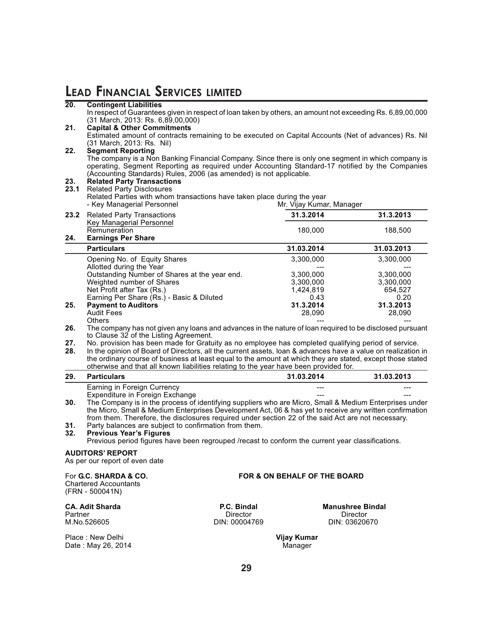# **20. Contingent Liabilities**

In respect of Guarantees given in respect of loan taken by others, an amount not exceeding Rs. 6,89,00,000 (31 March, 2013: Rs. 6,89,00,000)

# **21. Capital & Other Commitments**

Estimated amount of contracts remaining to be executed on Capital Accounts (Net of advances) Rs. Nil (31 March, 2013: Rs. Nil)

# **22. Segment Reporting**

The company is a Non Banking Financial Company. Since there is only one segment in which company is operating, Segment Reporting as required under Accounting Standard-17 notified by the Companies (Accounting Standards) Rules, 2006 (as amended) is not applicable.

# **23. Related Party Transactions**

# **23.1** Related Party Disclosures

|      | Related Parties with whom transactions have taken place during the year<br>- Key Managerial Personnel         | Mr. Vijay Kumar, Manager |                      |  |
|------|---------------------------------------------------------------------------------------------------------------|--------------------------|----------------------|--|
| 23.2 | <b>Related Party Transactions</b>                                                                             | 31.3.2014                | 31.3.2013<br>188,500 |  |
| 24.  | <b>Key Managerial Personnel</b><br><b>Remuneration</b><br><b>Earnings Per Share</b>                           | 180.000                  |                      |  |
|      | <b>Particulars</b>                                                                                            | 31.03.2014               | 31.03.2013           |  |
|      | Opening No. of Equity Shares                                                                                  | 3.300.000                | 3,300,000            |  |
|      | Allotted during the Year                                                                                      |                          |                      |  |
|      | Outstanding Number of Shares at the year end.                                                                 | 3.300.000                | 3.300.000            |  |
|      | Weighted number of Shares                                                                                     | 3.300.000                | 3.300.000            |  |
|      | Net Profit after Tax (Rs.)                                                                                    | 1,424,819                | 654.527              |  |
|      | Earning Per Share (Rs.) - Basic & Diluted                                                                     | 0.43                     | 0.20                 |  |
| 25.  | <b>Payment to Auditors</b>                                                                                    | 31.3.2014                | 31.3.2013            |  |
|      | <b>Audit Fees</b>                                                                                             | 28.090                   | 28,090               |  |
|      | <b>Others</b>                                                                                                 |                          |                      |  |
| ^^   | , a shearachd a choireadh ann an choireadh a dheanach a tha in athrac at leas na sheadh a bha dhaclacadh seol |                          |                      |  |

**26.** The company has not given any loans and advances in the nature of loan required to be disclosed pursuant to Clause 32 of the Listing Agreement.

27. No. provision has been made for Gratuity as no employee has completed qualifying period of service.<br>28. In the opinion of Board of Directors, all the current assets, loan & advances have a value on realization

**28.** In the opinion of Board of Directors, all the current assets, loan & advances have a value on realization in the ordinary course of business at least equal to the amount at which they are stated, except those stated otherwise and that all known liabilities relating to the year have been provided for.

| 29.    | <b>Particulars</b>                                                                                                           | 31.03.2014 | 31.03.2013 |  |
|--------|------------------------------------------------------------------------------------------------------------------------------|------------|------------|--|
|        | Earning in Foreign Currency                                                                                                  | ---        | $---$      |  |
|        | Expenditure in Foreign Exchange                                                                                              | $- - -$    | $---$      |  |
| $\sim$ | The $\bigcap$ concernsion to the produced of the office condition who can Micro $\bigcap$ and I $0$ Medium Futural condition |            |            |  |

**30.** The Company is in the process of identifying suppliers who are Micro, Small & Medium Enterprises under the Micro, Small & Medium Enterprises Development Act, 06 & has yet to receive any written confirmation from them. Therefore, the disclosures required under section 22 of the said Act are not necessary.

#### **31.** Party balances are subject to confirmation from them.<br>**32. Previous Year's Figures 32. Previous Year's Figures**

Previous period figures have been regrouped /recast to conform the current year classifications.

# **AUDITORS' REPORT**

As per our report of even date

# For **G.C. SHARDA & CO. FOR & ON BEHALF OF THE BOARD** Chartered Accountants

(FRN - 500041N)

Place : New Delhi **Vijay Kumar**<br>Date : May 26, 2014 **Manual Music Structure of Manual Manual Manual Manual Manual Manual Manual Manual Manual M** Date: May 26, 2014

Partner Director Director Director Director Director Director

**CA. Adit Sharda CA. Adit Sharda P.C. Bindal P.C. Bindal Partner Director Director** M.No.526605 DIN: 00004769 DIN: 03620670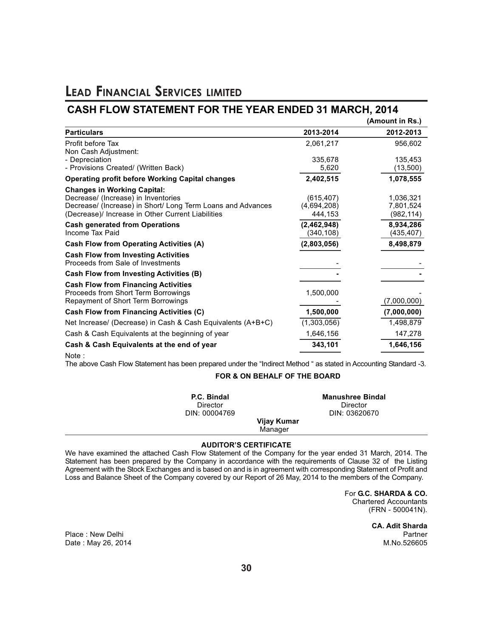# **CASH FLOW STATEMENT FOR THE YEAR ENDED 31 MARCH, 2014**

|                                                                                                                                                                                               |                                      | (Amount in Rs.)                     |
|-----------------------------------------------------------------------------------------------------------------------------------------------------------------------------------------------|--------------------------------------|-------------------------------------|
| <b>Particulars</b>                                                                                                                                                                            | 2013-2014                            | 2012-2013                           |
| Profit before Tax<br>Non Cash Adjustment:                                                                                                                                                     | 2,061,217                            | 956,602                             |
| - Depreciation<br>- Provisions Created/ (Written Back)                                                                                                                                        | 335,678<br>5,620                     | 135,453<br>(13,500)                 |
| <b>Operating profit before Working Capital changes</b>                                                                                                                                        | 2,402,515                            | 1,078,555                           |
| <b>Changes in Working Capital:</b><br>Decrease/ (Increase) in Inventories<br>Decrease/ (Increase) in Short/ Long Term Loans and Advances<br>(Decrease)/ Increase in Other Current Liabilities | (615, 407)<br>(4,694,208)<br>444,153 | 1,036,321<br>7,801,524<br>(982,114) |
| <b>Cash generated from Operations</b><br>Income Tax Paid                                                                                                                                      | (2,462,948)<br>(340, 108)            | 8,934,286<br>(435, 407)             |
| <b>Cash Flow from Operating Activities (A)</b>                                                                                                                                                | (2,803,056)                          | 8,498,879                           |
| <b>Cash Flow from Investing Activities</b><br>Proceeds from Sale of Investments                                                                                                               |                                      |                                     |
| <b>Cash Flow from Investing Activities (B)</b>                                                                                                                                                |                                      |                                     |
| <b>Cash Flow from Financing Activities</b><br>Proceeds from Short Term Borrowings<br>Repayment of Short Term Borrowings                                                                       | 1,500,000                            | (7,000,000)                         |
| <b>Cash Flow from Financing Activities (C)</b>                                                                                                                                                | 1,500,000                            | (7,000,000)                         |
| Net Increase/ (Decrease) in Cash & Cash Equivalents (A+B+C)                                                                                                                                   | (1,303,056)                          | 1,498,879                           |
| Cash & Cash Equivalents at the beginning of year                                                                                                                                              | 1,646,156                            | 147,278                             |
| Cash & Cash Equivalents at the end of year                                                                                                                                                    | 343,101                              | 1,646,156                           |

### Note :

The above Cash Flow Statement has been prepared under the "Indirect Method " as stated in Accounting Standard -3.

# **FOR & ON BEHALF OF THE BOARD**

| P.C. Bindal<br>Director | <b>Manushree Bindal</b><br>Director |
|-------------------------|-------------------------------------|
| DIN: 00004769           | DIN: 03620670                       |
|                         | Vijay Kumar                         |
|                         | Manager                             |

# **AUDITOR'S CERTIFICATE**

We have examined the attached Cash Flow Statement of the Company for the year ended 31 March, 2014. The Statement has been prepared by the Company in accordance with the requirements of Clause 32 of the Listing Agreement with the Stock Exchanges and is based on and is in agreement with corresponding Statement of Profit and Loss and Balance Sheet of the Company covered by our Report of 26 May, 2014 to the members of the Company.

> For **G.C. SHARDA & CO.** Chartered Accountants (FRN - 500041N).

> > **CA. Adit Sharda**

Place : New Delhi Partner Date: May 26, 2014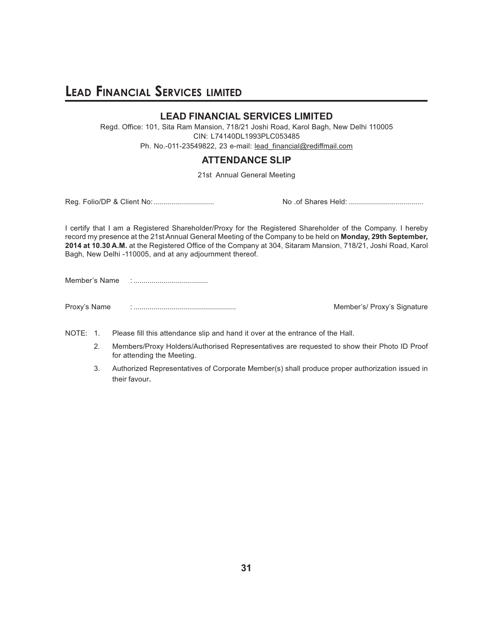# **LEAD FINANCIAL SERVICES LIMITED**

Regd. Office: 101, Sita Ram Mansion, 718/21 Joshi Road, Karol Bagh, New Delhi 110005 CIN: L74140DL1993PLC053485 Ph. No.-011-23549822, 23 e-mail: lead\_financial@rediffmail.com

# **ATTENDANCE SLIP**

21st Annual General Meeting

Reg. Folio/DP & Client No: .............................. No .of Shares Held: .....................................

I certify that I am a Registered Shareholder/Proxy for the Registered Shareholder of the Company. I hereby record my presence at the 21st Annual General Meeting of the Company to be held on **Monday, 29th September, 2014 at 10.30 A.M.** at the Registered Office of the Company at 304, Sitaram Mansion, 718/21, Joshi Road, Karol Bagh, New Delhi -110005, and at any adjournment thereof.

Member's Name : .....................................

Proxy's Name : ................................................... Member's/ Proxy's Signature

NOTE: 1. Please fill this attendance slip and hand it over at the entrance of the Hall.

- 2. Members/Proxy Holders/Authorised Representatives are requested to show their Photo ID Proof for attending the Meeting.
- 3. Authorized Representatives of Corporate Member(s) shall produce proper authorization issued in their favour.